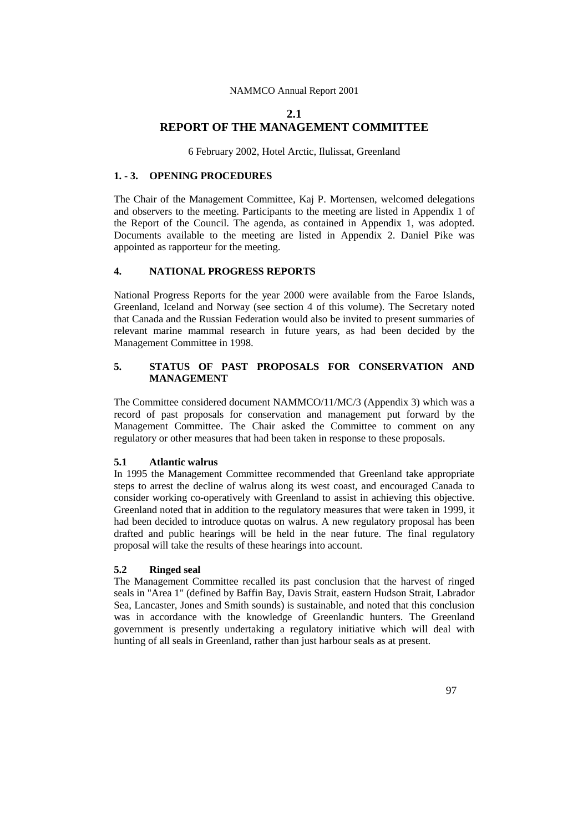# **2.1 REPORT OF THE MANAGEMENT COMMITTEE**

6 February 2002, Hotel Arctic, Ilulissat, Greenland

# **1. - 3. OPENING PROCEDURES**

The Chair of the Management Committee, Kaj P. Mortensen, welcomed delegations and observers to the meeting. Participants to the meeting are listed in Appendix 1 of the Report of the Council. The agenda, as contained in Appendix 1, was adopted. Documents available to the meeting are listed in Appendix 2. Daniel Pike was appointed as rapporteur for the meeting.

# **4. NATIONAL PROGRESS REPORTS**

National Progress Reports for the year 2000 were available from the Faroe Islands, Greenland, Iceland and Norway (see section 4 of this volume). The Secretary noted that Canada and the Russian Federation would also be invited to present summaries of relevant marine mammal research in future years, as had been decided by the Management Committee in 1998.

# **5. STATUS OF PAST PROPOSALS FOR CONSERVATION AND MANAGEMENT**

The Committee considered document NAMMCO/11/MC/3 (Appendix 3) which was a record of past proposals for conservation and management put forward by the Management Committee. The Chair asked the Committee to comment on any regulatory or other measures that had been taken in response to these proposals.

## **5.1 Atlantic walrus**

In 1995 the Management Committee recommended that Greenland take appropriate steps to arrest the decline of walrus along its west coast, and encouraged Canada to consider working co-operatively with Greenland to assist in achieving this objective. Greenland noted that in addition to the regulatory measures that were taken in 1999, it had been decided to introduce quotas on walrus. A new regulatory proposal has been drafted and public hearings will be held in the near future. The final regulatory proposal will take the results of these hearings into account.

## **5.2 Ringed seal**

The Management Committee recalled its past conclusion that the harvest of ringed seals in "Area 1" (defined by Baffin Bay, Davis Strait, eastern Hudson Strait, Labrador Sea, Lancaster, Jones and Smith sounds) is sustainable, and noted that this conclusion was in accordance with the knowledge of Greenlandic hunters. The Greenland government is presently undertaking a regulatory initiative which will deal with hunting of all seals in Greenland, rather than just harbour seals as at present.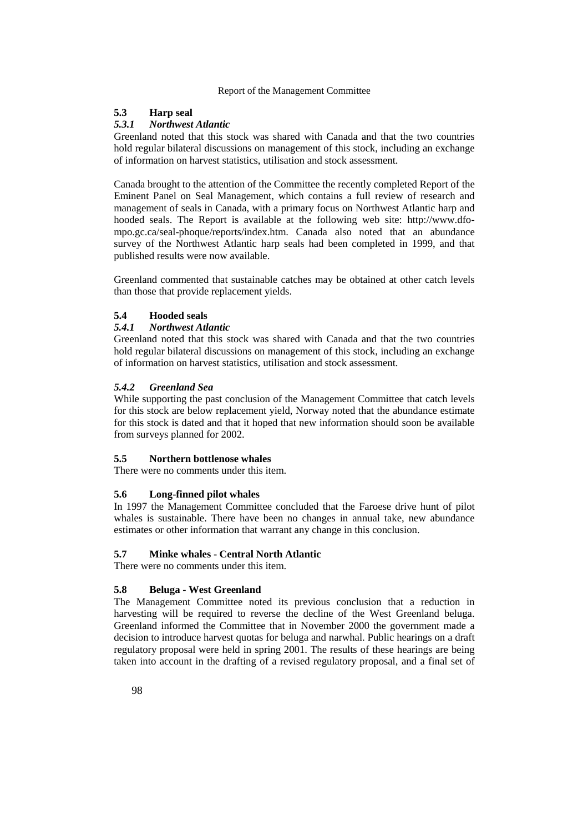#### **5.3 Harp seal**

### *5.3.1 Northwest Atlantic*

Greenland noted that this stock was shared with Canada and that the two countries hold regular bilateral discussions on management of this stock, including an exchange of information on harvest statistics, utilisation and stock assessment.

Canada brought to the attention of the Committee the recently completed Report of the Eminent Panel on Seal Management, which contains a full review of research and management of seals in Canada, with a primary focus on Northwest Atlantic harp and hooded seals. The Report is available at the following web site: http://www.dfompo.gc.ca/seal-phoque/reports/index.htm. Canada also noted that an abundance survey of the Northwest Atlantic harp seals had been completed in 1999, and that published results were now available.

Greenland commented that sustainable catches may be obtained at other catch levels than those that provide replacement yields.

## **5.4 Hooded seals**

## *5.4.1 Northwest Atlantic*

Greenland noted that this stock was shared with Canada and that the two countries hold regular bilateral discussions on management of this stock, including an exchange of information on harvest statistics, utilisation and stock assessment.

# *5.4.2 Greenland Sea*

While supporting the past conclusion of the Management Committee that catch levels for this stock are below replacement yield, Norway noted that the abundance estimate for this stock is dated and that it hoped that new information should soon be available from surveys planned for 2002.

#### **5.5 Northern bottlenose whales**

There were no comments under this item.

# **5.6 Long-finned pilot whales**

In 1997 the Management Committee concluded that the Faroese drive hunt of pilot whales is sustainable. There have been no changes in annual take, new abundance estimates or other information that warrant any change in this conclusion.

#### **5.7 Minke whales - Central North Atlantic**

There were no comments under this item.

## **5.8 Beluga - West Greenland**

The Management Committee noted its previous conclusion that a reduction in harvesting will be required to reverse the decline of the West Greenland beluga. Greenland informed the Committee that in November 2000 the government made a decision to introduce harvest quotas for beluga and narwhal. Public hearings on a draft regulatory proposal were held in spring 2001. The results of these hearings are being taken into account in the drafting of a revised regulatory proposal, and a final set of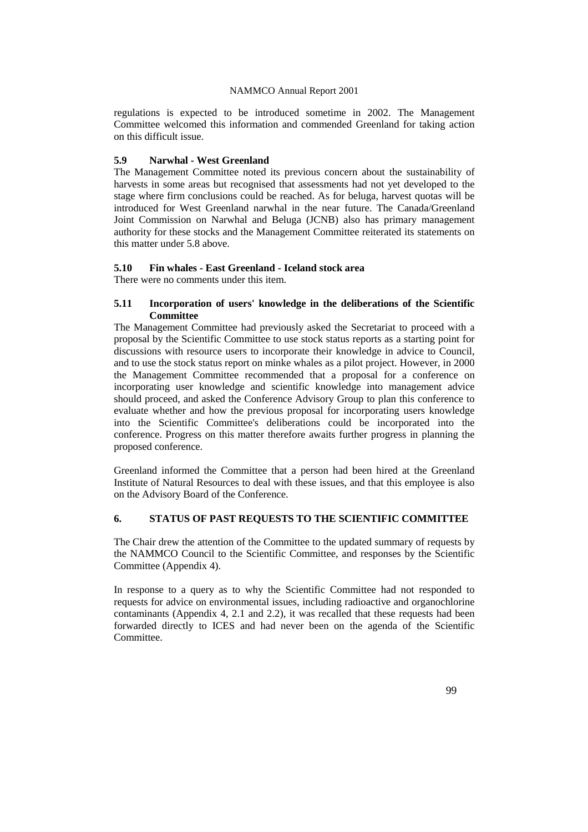regulations is expected to be introduced sometime in 2002. The Management Committee welcomed this information and commended Greenland for taking action on this difficult issue.

# **5.9 Narwhal - West Greenland**

The Management Committee noted its previous concern about the sustainability of harvests in some areas but recognised that assessments had not yet developed to the stage where firm conclusions could be reached. As for beluga, harvest quotas will be introduced for West Greenland narwhal in the near future. The Canada/Greenland Joint Commission on Narwhal and Beluga (JCNB) also has primary management authority for these stocks and the Management Committee reiterated its statements on this matter under 5.8 above.

# **5.10 Fin whales - East Greenland - Iceland stock area**

There were no comments under this item.

# **5.11 Incorporation of users' knowledge in the deliberations of the Scientific Committee**

The Management Committee had previously asked the Secretariat to proceed with a proposal by the Scientific Committee to use stock status reports as a starting point for discussions with resource users to incorporate their knowledge in advice to Council, and to use the stock status report on minke whales as a pilot project. However, in 2000 the Management Committee recommended that a proposal for a conference on incorporating user knowledge and scientific knowledge into management advice should proceed, and asked the Conference Advisory Group to plan this conference to evaluate whether and how the previous proposal for incorporating users knowledge into the Scientific Committee's deliberations could be incorporated into the conference. Progress on this matter therefore awaits further progress in planning the proposed conference.

Greenland informed the Committee that a person had been hired at the Greenland Institute of Natural Resources to deal with these issues, and that this employee is also on the Advisory Board of the Conference.

# **6. STATUS OF PAST REQUESTS TO THE SCIENTIFIC COMMITTEE**

The Chair drew the attention of the Committee to the updated summary of requests by the NAMMCO Council to the Scientific Committee, and responses by the Scientific Committee (Appendix 4).

In response to a query as to why the Scientific Committee had not responded to requests for advice on environmental issues, including radioactive and organochlorine contaminants (Appendix 4, 2.1 and 2.2), it was recalled that these requests had been forwarded directly to ICES and had never been on the agenda of the Scientific Committee.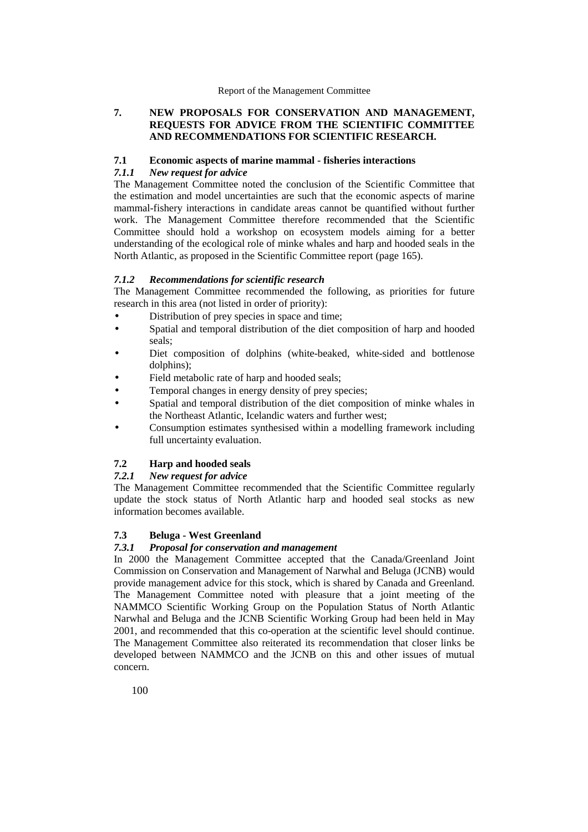# **7. NEW PROPOSALS FOR CONSERVATION AND MANAGEMENT, REQUESTS FOR ADVICE FROM THE SCIENTIFIC COMMITTEE AND RECOMMENDATIONS FOR SCIENTIFIC RESEARCH.**

# **7.1 Economic aspects of marine mammal - fisheries interactions**

# *7.1.1 New request for advice*

The Management Committee noted the conclusion of the Scientific Committee that the estimation and model uncertainties are such that the economic aspects of marine mammal-fishery interactions in candidate areas cannot be quantified without further work. The Management Committee therefore recommended that the Scientific Committee should hold a workshop on ecosystem models aiming for a better understanding of the ecological role of minke whales and harp and hooded seals in the North Atlantic, as proposed in the Scientific Committee report (page 165).

# *7.1.2 Recommendations for scientific research*

The Management Committee recommended the following, as priorities for future research in this area (not listed in order of priority):

- Distribution of prey species in space and time:
- Spatial and temporal distribution of the diet composition of harp and hooded seals;
- Diet composition of dolphins (white-beaked, white-sided and bottlenose dolphins);
- Field metabolic rate of harp and hooded seals;
- Temporal changes in energy density of prey species;
- Spatial and temporal distribution of the diet composition of minke whales in the Northeast Atlantic, Icelandic waters and further west;
- Consumption estimates synthesised within a modelling framework including full uncertainty evaluation.

# **7.2 Harp and hooded seals**

# *7.2.1 New request for advice*

The Management Committee recommended that the Scientific Committee regularly update the stock status of North Atlantic harp and hooded seal stocks as new information becomes available.

# **7.3 Beluga - West Greenland**

## *7.3.1 Proposal for conservation and management*

In 2000 the Management Committee accepted that the Canada/Greenland Joint Commission on Conservation and Management of Narwhal and Beluga (JCNB) would provide management advice for this stock, which is shared by Canada and Greenland. The Management Committee noted with pleasure that a joint meeting of the NAMMCO Scientific Working Group on the Population Status of North Atlantic Narwhal and Beluga and the JCNB Scientific Working Group had been held in May 2001, and recommended that this co-operation at the scientific level should continue. The Management Committee also reiterated its recommendation that closer links be developed between NAMMCO and the JCNB on this and other issues of mutual concern.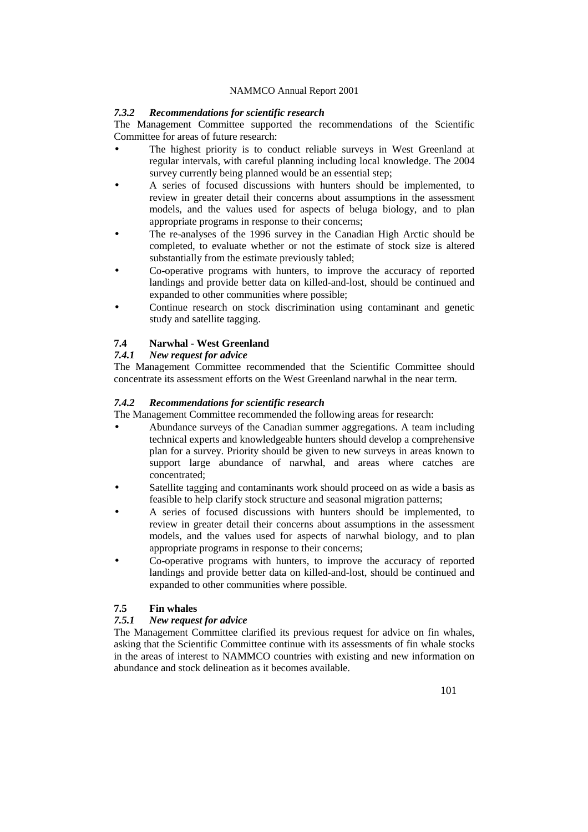# *7.3.2 Recommendations for scientific research*

The Management Committee supported the recommendations of the Scientific Committee for areas of future research:

- The highest priority is to conduct reliable surveys in West Greenland at regular intervals, with careful planning including local knowledge. The 2004 survey currently being planned would be an essential step;
- A series of focused discussions with hunters should be implemented, to review in greater detail their concerns about assumptions in the assessment models, and the values used for aspects of beluga biology, and to plan appropriate programs in response to their concerns;
- The re-analyses of the 1996 survey in the Canadian High Arctic should be completed, to evaluate whether or not the estimate of stock size is altered substantially from the estimate previously tabled;
- Co-operative programs with hunters, to improve the accuracy of reported landings and provide better data on killed-and-lost, should be continued and expanded to other communities where possible;
- Continue research on stock discrimination using contaminant and genetic study and satellite tagging.

# **7.4 Narwhal - West Greenland**

# *7.4.1 New request for advice*

The Management Committee recommended that the Scientific Committee should concentrate its assessment efforts on the West Greenland narwhal in the near term.

# *7.4.2 Recommendations for scientific research*

The Management Committee recommended the following areas for research:

- Abundance surveys of the Canadian summer aggregations. A team including technical experts and knowledgeable hunters should develop a comprehensive plan for a survey. Priority should be given to new surveys in areas known to support large abundance of narwhal, and areas where catches are concentrated;
- Satellite tagging and contaminants work should proceed on as wide a basis as feasible to help clarify stock structure and seasonal migration patterns;
- A series of focused discussions with hunters should be implemented, to review in greater detail their concerns about assumptions in the assessment models, and the values used for aspects of narwhal biology, and to plan appropriate programs in response to their concerns;
- Co-operative programs with hunters, to improve the accuracy of reported landings and provide better data on killed-and-lost, should be continued and expanded to other communities where possible.

# **7.5 Fin whales**

# *7.5.1 New request for advice*

The Management Committee clarified its previous request for advice on fin whales, asking that the Scientific Committee continue with its assessments of fin whale stocks in the areas of interest to NAMMCO countries with existing and new information on abundance and stock delineation as it becomes available.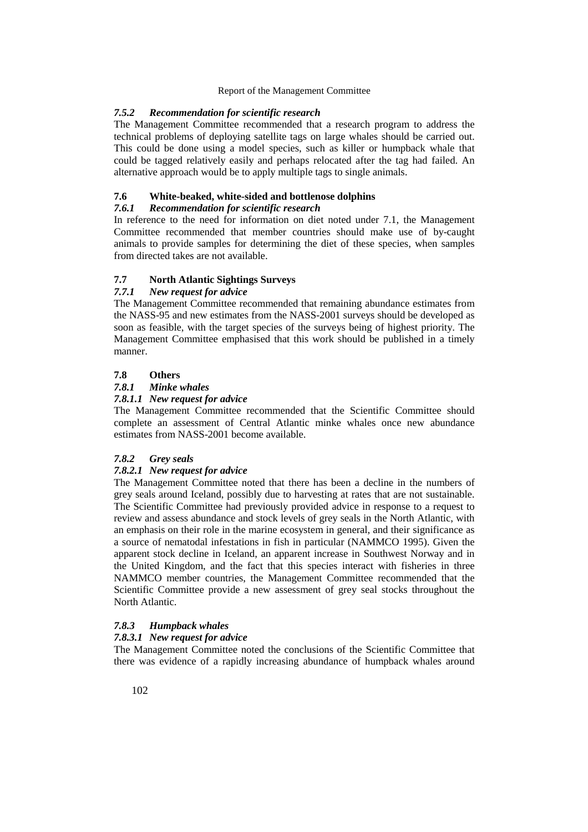## *7.5.2 Recommendation for scientific research*

The Management Committee recommended that a research program to address the technical problems of deploying satellite tags on large whales should be carried out. This could be done using a model species, such as killer or humpback whale that could be tagged relatively easily and perhaps relocated after the tag had failed. An alternative approach would be to apply multiple tags to single animals.

## **7.6 White-beaked, white-sided and bottlenose dolphins**

## *7.6.1 Recommendation for scientific research*

In reference to the need for information on diet noted under 7.1, the Management Committee recommended that member countries should make use of by-caught animals to provide samples for determining the diet of these species, when samples from directed takes are not available.

## **7.7 North Atlantic Sightings Surveys**

#### *7.7.1 New request for advice*

The Management Committee recommended that remaining abundance estimates from the NASS-95 and new estimates from the NASS-2001 surveys should be developed as soon as feasible, with the target species of the surveys being of highest priority. The Management Committee emphasised that this work should be published in a timely manner.

# **7.8 Others**

## *7.8.1 Minke whales*

#### *7.8.1.1 New request for advice*

The Management Committee recommended that the Scientific Committee should complete an assessment of Central Atlantic minke whales once new abundance estimates from NASS-2001 become available.

#### *7.8.2 Grey seals*

## *7.8.2.1 New request for advice*

The Management Committee noted that there has been a decline in the numbers of grey seals around Iceland, possibly due to harvesting at rates that are not sustainable. The Scientific Committee had previously provided advice in response to a request to review and assess abundance and stock levels of grey seals in the North Atlantic, with an emphasis on their role in the marine ecosystem in general, and their significance as a source of nematodal infestations in fish in particular (NAMMCO 1995). Given the apparent stock decline in Iceland, an apparent increase in Southwest Norway and in the United Kingdom, and the fact that this species interact with fisheries in three NAMMCO member countries, the Management Committee recommended that the Scientific Committee provide a new assessment of grey seal stocks throughout the North Atlantic.

# *7.8.3 Humpback whales*

#### *7.8.3.1 New request for advice*

The Management Committee noted the conclusions of the Scientific Committee that there was evidence of a rapidly increasing abundance of humpback whales around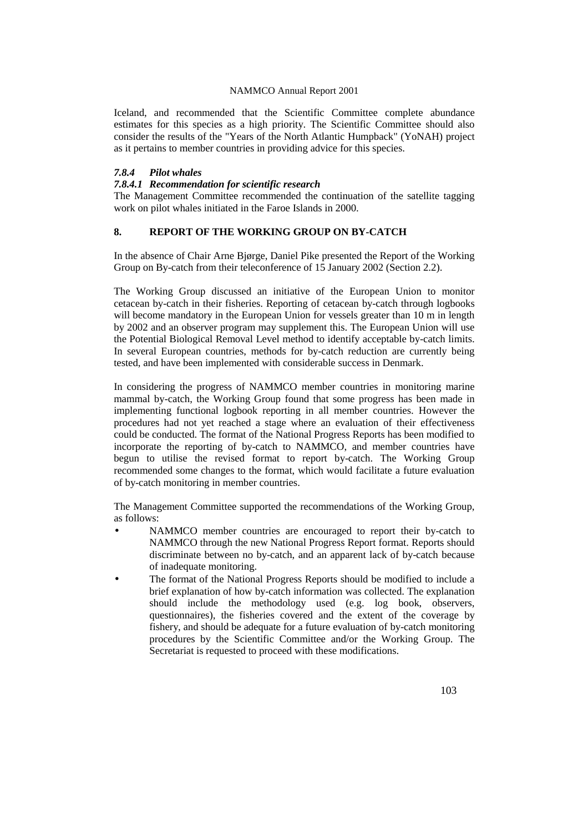Iceland, and recommended that the Scientific Committee complete abundance estimates for this species as a high priority. The Scientific Committee should also consider the results of the "Years of the North Atlantic Humpback" (YoNAH) project as it pertains to member countries in providing advice for this species.

## *7.8.4 Pilot whales*

# *7.8.4.1 Recommendation for scientific research*

The Management Committee recommended the continuation of the satellite tagging work on pilot whales initiated in the Faroe Islands in 2000.

# **8. REPORT OF THE WORKING GROUP ON BY-CATCH**

In the absence of Chair Arne Bjørge, Daniel Pike presented the Report of the Working Group on By-catch from their teleconference of 15 January 2002 (Section 2.2).

The Working Group discussed an initiative of the European Union to monitor cetacean by-catch in their fisheries. Reporting of cetacean by-catch through logbooks will become mandatory in the European Union for vessels greater than 10 m in length by 2002 and an observer program may supplement this. The European Union will use the Potential Biological Removal Level method to identify acceptable by-catch limits. In several European countries, methods for by-catch reduction are currently being tested, and have been implemented with considerable success in Denmark.

In considering the progress of NAMMCO member countries in monitoring marine mammal by-catch, the Working Group found that some progress has been made in implementing functional logbook reporting in all member countries. However the procedures had not yet reached a stage where an evaluation of their effectiveness could be conducted. The format of the National Progress Reports has been modified to incorporate the reporting of by-catch to NAMMCO, and member countries have begun to utilise the revised format to report by-catch. The Working Group recommended some changes to the format, which would facilitate a future evaluation of by-catch monitoring in member countries.

The Management Committee supported the recommendations of the Working Group, as follows:

- NAMMCO member countries are encouraged to report their by-catch to NAMMCO through the new National Progress Report format. Reports should discriminate between no by-catch, and an apparent lack of by-catch because of inadequate monitoring.
- The format of the National Progress Reports should be modified to include a brief explanation of how by-catch information was collected. The explanation should include the methodology used (e.g. log book, observers, questionnaires), the fisheries covered and the extent of the coverage by fishery, and should be adequate for a future evaluation of by-catch monitoring procedures by the Scientific Committee and/or the Working Group. The Secretariat is requested to proceed with these modifications.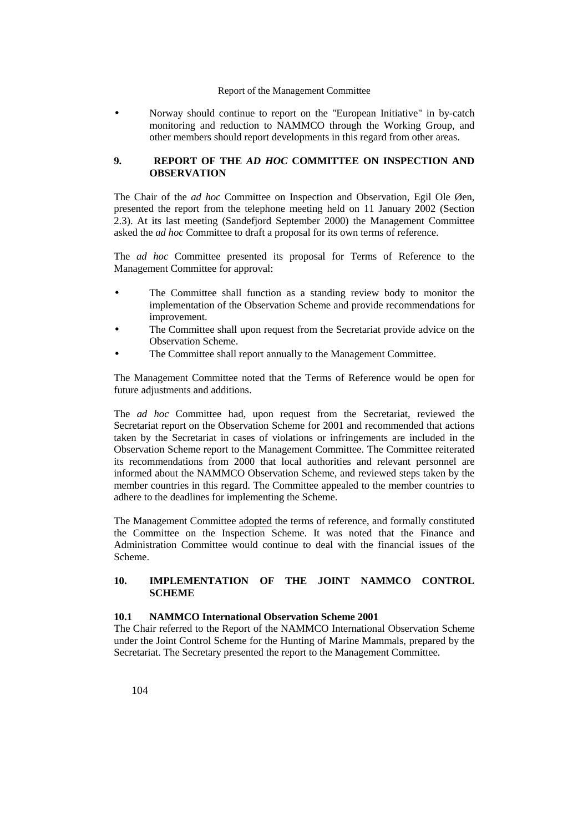• Norway should continue to report on the "European Initiative" in by-catch monitoring and reduction to NAMMCO through the Working Group, and other members should report developments in this regard from other areas.

# **9. REPORT OF THE** *AD HOC* **COMMITTEE ON INSPECTION AND OBSERVATION**

The Chair of the *ad hoc* Committee on Inspection and Observation, Egil Ole Øen, presented the report from the telephone meeting held on 11 January 2002 (Section 2.3). At its last meeting (Sandefjord September 2000) the Management Committee asked the *ad hoc* Committee to draft a proposal for its own terms of reference.

The *ad hoc* Committee presented its proposal for Terms of Reference to the Management Committee for approval:

- The Committee shall function as a standing review body to monitor the implementation of the Observation Scheme and provide recommendations for improvement.
- The Committee shall upon request from the Secretariat provide advice on the Observation Scheme.
- The Committee shall report annually to the Management Committee.

The Management Committee noted that the Terms of Reference would be open for future adjustments and additions.

The *ad hoc* Committee had, upon request from the Secretariat, reviewed the Secretariat report on the Observation Scheme for 2001 and recommended that actions taken by the Secretariat in cases of violations or infringements are included in the Observation Scheme report to the Management Committee. The Committee reiterated its recommendations from 2000 that local authorities and relevant personnel are informed about the NAMMCO Observation Scheme, and reviewed steps taken by the member countries in this regard. The Committee appealed to the member countries to adhere to the deadlines for implementing the Scheme.

The Management Committee adopted the terms of reference, and formally constituted the Committee on the Inspection Scheme. It was noted that the Finance and Administration Committee would continue to deal with the financial issues of the Scheme.

# **10. IMPLEMENTATION OF THE JOINT NAMMCO CONTROL SCHEME**

## **10.1 NAMMCO International Observation Scheme 2001**

The Chair referred to the Report of the NAMMCO International Observation Scheme under the Joint Control Scheme for the Hunting of Marine Mammals, prepared by the Secretariat. The Secretary presented the report to the Management Committee.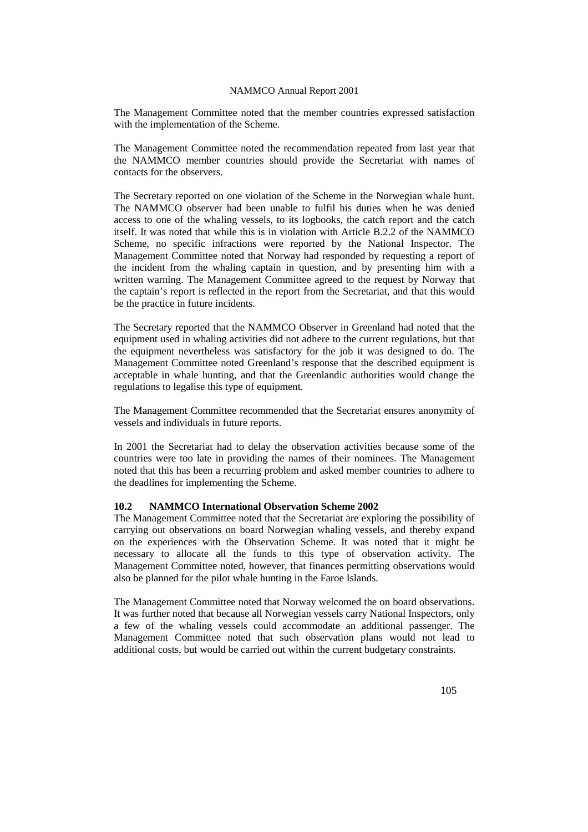The Management Committee noted that the member countries expressed satisfaction with the implementation of the Scheme.

The Management Committee noted the recommendation repeated from last year that the NAMMCO member countries should provide the Secretariat with names of contacts for the observers.

The Secretary reported on one violation of the Scheme in the Norwegian whale hunt. The NAMMCO observer had been unable to fulfil his duties when he was denied access to one of the whaling vessels, to its logbooks, the catch report and the catch itself. It was noted that while this is in violation with Article B.2.2 of the NAMMCO Scheme, no specific infractions were reported by the National Inspector. The Management Committee noted that Norway had responded by requesting a report of the incident from the whaling captain in question, and by presenting him with a written warning. The Management Committee agreed to the request by Norway that the captain's report is reflected in the report from the Secretariat, and that this would be the practice in future incidents.

The Secretary reported that the NAMMCO Observer in Greenland had noted that the equipment used in whaling activities did not adhere to the current regulations, but that the equipment nevertheless was satisfactory for the job it was designed to do. The Management Committee noted Greenland's response that the described equipment is acceptable in whale hunting, and that the Greenlandic authorities would change the regulations to legalise this type of equipment.

The Management Committee recommended that the Secretariat ensures anonymity of vessels and individuals in future reports.

In 2001 the Secretariat had to delay the observation activities because some of the countries were too late in providing the names of their nominees. The Management noted that this has been a recurring problem and asked member countries to adhere to the deadlines for implementing the Scheme.

## **10.2 NAMMCO International Observation Scheme 2002**

The Management Committee noted that the Secretariat are exploring the possibility of carrying out observations on board Norwegian whaling vessels, and thereby expand on the experiences with the Observation Scheme. It was noted that it might be necessary to allocate all the funds to this type of observation activity. The Management Committee noted, however, that finances permitting observations would also be planned for the pilot whale hunting in the Faroe Islands.

The Management Committee noted that Norway welcomed the on board observations. It was further noted that because all Norwegian vessels carry National Inspectors, only a few of the whaling vessels could accommodate an additional passenger. The Management Committee noted that such observation plans would not lead to additional costs, but would be carried out within the current budgetary constraints.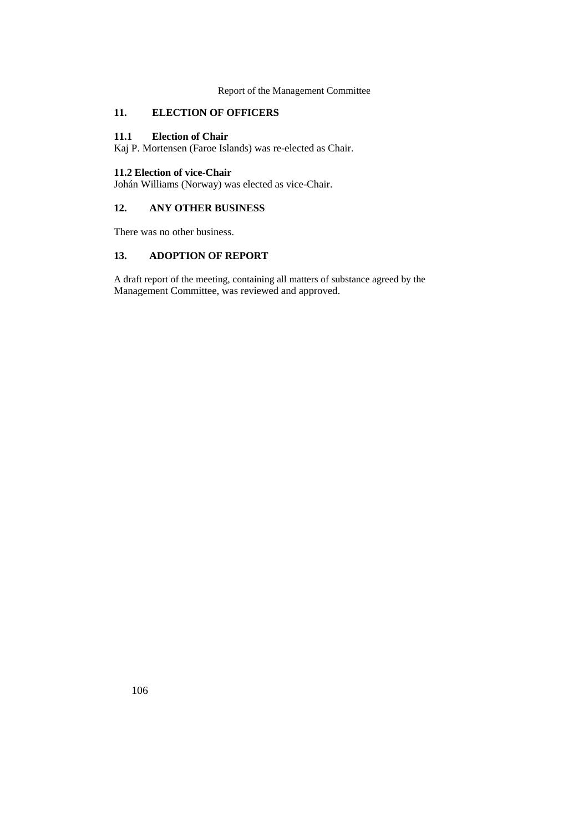# **11. ELECTION OF OFFICERS**

## **11.1 Election of Chair**

Kaj P. Mortensen (Faroe Islands) was re-elected as Chair.

# **11.2 Election of vice-Chair**

Johán Williams (Norway) was elected as vice-Chair.

# **12. ANY OTHER BUSINESS**

There was no other business.

# **13. ADOPTION OF REPORT**

A draft report of the meeting, containing all matters of substance agreed by the Management Committee, was reviewed and approved.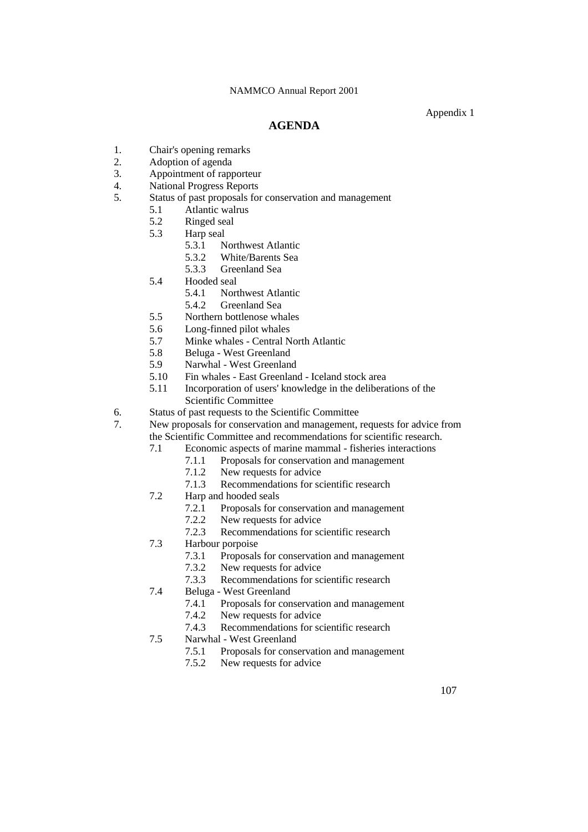Appendix 1

# **AGENDA**

- 1. Chair's opening remarks
- 2. Adoption of agenda
- 3. Appointment of rapporteur
- 4. National Progress Reports
- 5. Status of past proposals for conservation and management
	- 5.1 Atlantic walrus
	- 5.2 Ringed seal
	- 5.3 Harp seal
		- 5.3.1 Northwest Atlantic
		- 5.3.2 White/Barents Sea
		- 5.3.3 Greenland Sea
	- 5.4 Hooded seal<br>5.4.1 Nor
		- Northwest Atlantic
		- 5.4.2 Greenland Sea
	- 5.5 Northern bottlenose whales
	- 5.6 Long-finned pilot whales
	- 5.7 Minke whales Central North Atlantic
	- 5.8 Beluga West Greenland
	- 5.9 Narwhal West Greenland
	- 5.10 Fin whales East Greenland Iceland stock area
	- 5.11 Incorporation of users' knowledge in the deliberations of the Scientific Committee
- 6. Status of past requests to the Scientific Committee
- 7. New proposals for conservation and management, requests for advice from the Scientific Committee and recommendations for scientific research.
	- 7.1 Economic aspects of marine mammal fisheries interactions
		- 7.1.1 Proposals for conservation and management
		- 7.1.2 New requests for advice<br>7.1.3 Recommendations for sc
		- Recommendations for scientific research
	- 7.2 Harp and hooded seals
		- 7.2.1 Proposals for conservation and management
		- 7.2.2 New requests for advice
		- 7.2.3 Recommendations for scientific research
	- 7.3 Harbour porpoise
		- 7.3.1 Proposals for conservation and management
		- 7.3.2 New requests for advice
		- 7.3.3 Recommendations for scientific research
	- 7.4 Beluga West Greenland
		- 7.4.1 Proposals for conservation and management
		- 7.4.2 New requests for advice
		- 7.4.3 Recommendations for scientific research
	- 7.5 Narwhal West Greenland
		- 7.5.1 Proposals for conservation and management
		- 7.5.2 New requests for advice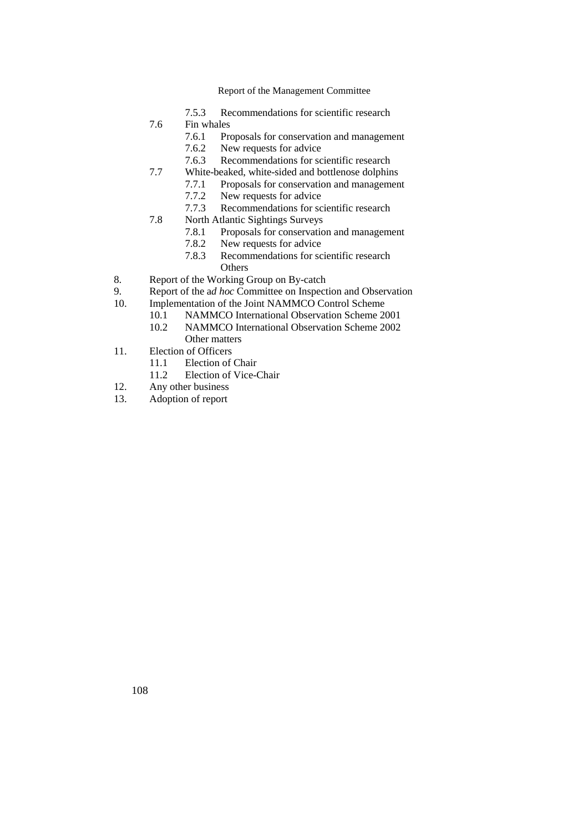- 7.5.3 Recommendations for scientific research
- 7.6 Fin whales
	- 7.6.1 Proposals for conservation and management
	- 7.6.2 New requests for advice
	- 7.6.3 Recommendations for scientific research
- 7.7 White-beaked, white-sided and bottlenose dolphins
	- 7.7.1 Proposals for conservation and management
		- 7.7.2 New requests for advice
	- 7.7.3 Recommendations for scientific research
- 7.8 North Atlantic Sightings Surveys
	- 7.8.1 Proposals for conservation and management
	- 7.8.2 New requests for advice
	- 7.8.3 Recommendations for scientific research **Others**
- 8. Report of the Working Group on By-catch
- 9. Report of the a*d hoc* Committee on Inspection and Observation
- 10. Implementation of the Joint NAMMCO Control Scheme
	- 10.1 NAMMCO International Observation Scheme 2001
	- 10.2 NAMMCO International Observation Scheme 2002 Other matters
- 11. Election of Officers
	- 11.1 Election of Chair
	- 11.2 Election of Vice-Chair
- 12. Any other business
- 13. Adoption of report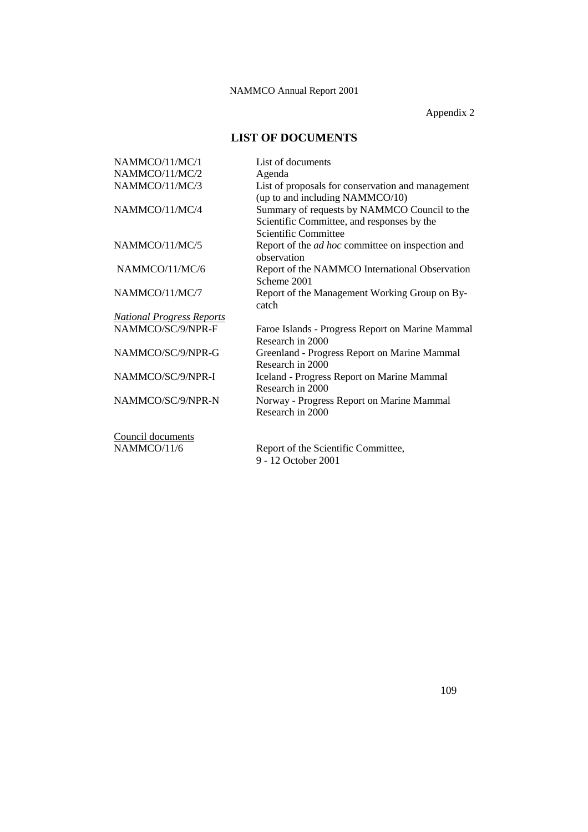Appendix 2

# **LIST OF DOCUMENTS**

| NAMMCO/11/MC/1                   | List of documents                                                                                                  |
|----------------------------------|--------------------------------------------------------------------------------------------------------------------|
| NAMMCO/11/MC/2                   | Agenda                                                                                                             |
| NAMMCO/11/MC/3                   | List of proposals for conservation and management<br>(up to and including NAMMCO/10)                               |
| NAMMCO/11/MC/4                   | Summary of requests by NAMMCO Council to the<br>Scientific Committee, and responses by the<br>Scientific Committee |
| NAMMCO/11/MC/5                   | Report of the <i>ad hoc</i> committee on inspection and<br>observation                                             |
| NAMMCO/11/MC/6                   | Report of the NAMMCO International Observation<br>Scheme 2001                                                      |
| NAMMCO/11/MC/7                   | Report of the Management Working Group on By-<br>catch                                                             |
| <b>National Progress Reports</b> |                                                                                                                    |
| NAMMCO/SC/9/NPR-F                | Faroe Islands - Progress Report on Marine Mammal<br>Research in 2000                                               |
| NAMMCO/SC/9/NPR-G                | Greenland - Progress Report on Marine Mammal<br>Research in 2000                                                   |
| NAMMCO/SC/9/NPR-I                | <b>Iceland - Progress Report on Marine Mammal</b><br>Research in 2000                                              |
| NAMMCO/SC/9/NPR-N                | Norway - Progress Report on Marine Mammal<br>Research in 2000                                                      |
| Council documents                |                                                                                                                    |
| NAMMCO/11/6                      | Report of the Scientific Committee,                                                                                |

9 - 12 October 2001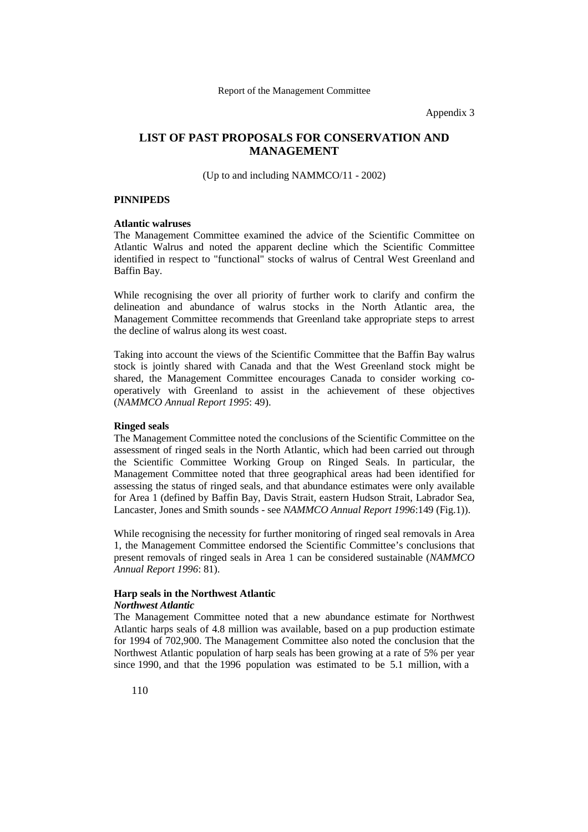Appendix 3

# **LIST OF PAST PROPOSALS FOR CONSERVATION AND MANAGEMENT**

(Up to and including NAMMCO/11 - 2002)

#### **PINNIPEDS**

#### **Atlantic walruses**

The Management Committee examined the advice of the Scientific Committee on Atlantic Walrus and noted the apparent decline which the Scientific Committee identified in respect to "functional" stocks of walrus of Central West Greenland and Baffin Bay.

While recognising the over all priority of further work to clarify and confirm the delineation and abundance of walrus stocks in the North Atlantic area, the Management Committee recommends that Greenland take appropriate steps to arrest the decline of walrus along its west coast.

Taking into account the views of the Scientific Committee that the Baffin Bay walrus stock is jointly shared with Canada and that the West Greenland stock might be shared, the Management Committee encourages Canada to consider working cooperatively with Greenland to assist in the achievement of these objectives (*NAMMCO Annual Report 1995*: 49).

### **Ringed seals**

The Management Committee noted the conclusions of the Scientific Committee on the assessment of ringed seals in the North Atlantic, which had been carried out through the Scientific Committee Working Group on Ringed Seals. In particular, the Management Committee noted that three geographical areas had been identified for assessing the status of ringed seals, and that abundance estimates were only available for Area 1 (defined by Baffin Bay, Davis Strait, eastern Hudson Strait, Labrador Sea, Lancaster, Jones and Smith sounds - see *NAMMCO Annual Report 1996*:149 (Fig.1)).

While recognising the necessity for further monitoring of ringed seal removals in Area 1, the Management Committee endorsed the Scientific Committee's conclusions that present removals of ringed seals in Area 1 can be considered sustainable (*NAMMCO Annual Report 1996*: 81).

#### **Harp seals in the Northwest Atlantic** *Northwest Atlantic*

The Management Committee noted that a new abundance estimate for Northwest Atlantic harps seals of 4.8 million was available, based on a pup production estimate for 1994 of 702,900. The Management Committee also noted the conclusion that the Northwest Atlantic population of harp seals has been growing at a rate of 5% per year since 1990, and that the 1996 population was estimated to be 5.1 million, with a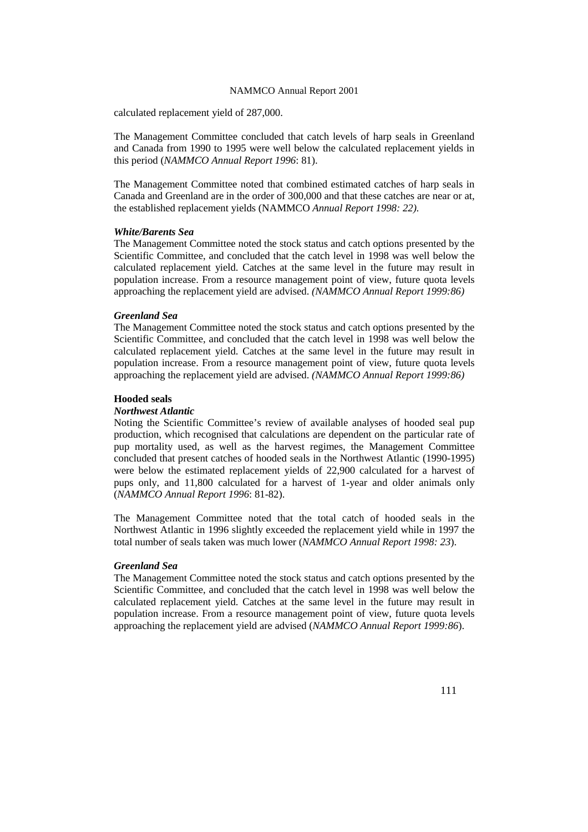calculated replacement yield of 287,000.

The Management Committee concluded that catch levels of harp seals in Greenland and Canada from 1990 to 1995 were well below the calculated replacement yields in this period (*NAMMCO Annual Report 1996*: 81).

The Management Committee noted that combined estimated catches of harp seals in Canada and Greenland are in the order of 300,000 and that these catches are near or at, the established replacement yields (NAMMCO *Annual Report 1998: 22).*

#### *White/Barents Sea*

The Management Committee noted the stock status and catch options presented by the Scientific Committee, and concluded that the catch level in 1998 was well below the calculated replacement yield. Catches at the same level in the future may result in population increase. From a resource management point of view, future quota levels approaching the replacement yield are advised. *(NAMMCO Annual Report 1999:86)*

#### *Greenland Sea*

The Management Committee noted the stock status and catch options presented by the Scientific Committee, and concluded that the catch level in 1998 was well below the calculated replacement yield. Catches at the same level in the future may result in population increase. From a resource management point of view, future quota levels approaching the replacement yield are advised. *(NAMMCO Annual Report 1999:86)*

#### **Hooded seals**

#### *Northwest Atlantic*

Noting the Scientific Committee's review of available analyses of hooded seal pup production, which recognised that calculations are dependent on the particular rate of pup mortality used, as well as the harvest regimes, the Management Committee concluded that present catches of hooded seals in the Northwest Atlantic (1990-1995) were below the estimated replacement yields of 22,900 calculated for a harvest of pups only, and 11,800 calculated for a harvest of 1-year and older animals only (*NAMMCO Annual Report 1996*: 81-82).

The Management Committee noted that the total catch of hooded seals in the Northwest Atlantic in 1996 slightly exceeded the replacement yield while in 1997 the total number of seals taken was much lower (*NAMMCO Annual Report 1998: 23*).

## *Greenland Sea*

The Management Committee noted the stock status and catch options presented by the Scientific Committee, and concluded that the catch level in 1998 was well below the calculated replacement yield. Catches at the same level in the future may result in population increase. From a resource management point of view, future quota levels approaching the replacement yield are advised (*NAMMCO Annual Report 1999:86*).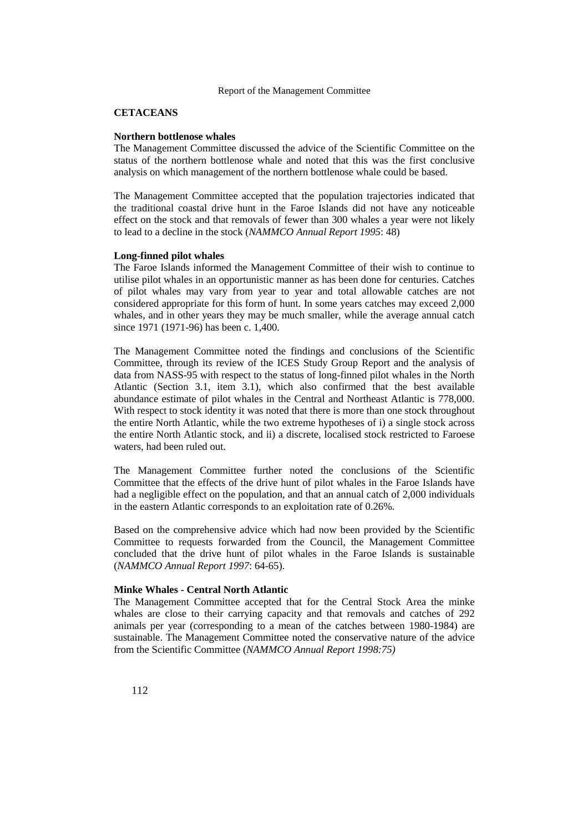## **CETACEANS**

#### **Northern bottlenose whales**

The Management Committee discussed the advice of the Scientific Committee on the status of the northern bottlenose whale and noted that this was the first conclusive analysis on which management of the northern bottlenose whale could be based.

The Management Committee accepted that the population trajectories indicated that the traditional coastal drive hunt in the Faroe Islands did not have any noticeable effect on the stock and that removals of fewer than 300 whales a year were not likely to lead to a decline in the stock (*NAMMCO Annual Report 1995*: 48)

#### **Long-finned pilot whales**

The Faroe Islands informed the Management Committee of their wish to continue to utilise pilot whales in an opportunistic manner as has been done for centuries. Catches of pilot whales may vary from year to year and total allowable catches are not considered appropriate for this form of hunt. In some years catches may exceed 2,000 whales, and in other years they may be much smaller, while the average annual catch since 1971 (1971-96) has been c. 1,400.

The Management Committee noted the findings and conclusions of the Scientific Committee, through its review of the ICES Study Group Report and the analysis of data from NASS-95 with respect to the status of long-finned pilot whales in the North Atlantic (Section 3.1, item 3.1), which also confirmed that the best available abundance estimate of pilot whales in the Central and Northeast Atlantic is 778,000. With respect to stock identity it was noted that there is more than one stock throughout the entire North Atlantic, while the two extreme hypotheses of i) a single stock across the entire North Atlantic stock, and ii) a discrete, localised stock restricted to Faroese waters, had been ruled out.

The Management Committee further noted the conclusions of the Scientific Committee that the effects of the drive hunt of pilot whales in the Faroe Islands have had a negligible effect on the population, and that an annual catch of 2,000 individuals in the eastern Atlantic corresponds to an exploitation rate of 0.26%.

Based on the comprehensive advice which had now been provided by the Scientific Committee to requests forwarded from the Council, the Management Committee concluded that the drive hunt of pilot whales in the Faroe Islands is sustainable (*NAMMCO Annual Report 1997*: 64-65).

### **Minke Whales - Central North Atlantic**

The Management Committee accepted that for the Central Stock Area the minke whales are close to their carrying capacity and that removals and catches of 292 animals per year (corresponding to a mean of the catches between 1980-1984) are sustainable. The Management Committee noted the conservative nature of the advice from the Scientific Committee (*NAMMCO Annual Report 1998:75)*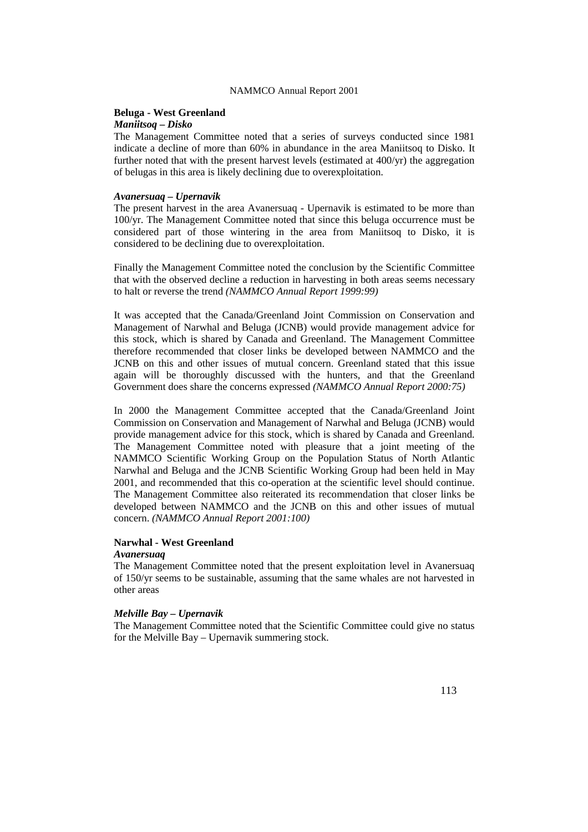## **Beluga - West Greenland**

#### *Maniitsoq – Disko*

The Management Committee noted that a series of surveys conducted since 1981 indicate a decline of more than 60% in abundance in the area Maniitsoq to Disko. It further noted that with the present harvest levels (estimated at 400/yr) the aggregation of belugas in this area is likely declining due to overexploitation.

#### *Avanersuaq – Upernavik*

The present harvest in the area Avanersuaq - Upernavik is estimated to be more than 100/yr. The Management Committee noted that since this beluga occurrence must be considered part of those wintering in the area from Maniitsoq to Disko, it is considered to be declining due to overexploitation.

Finally the Management Committee noted the conclusion by the Scientific Committee that with the observed decline a reduction in harvesting in both areas seems necessary to halt or reverse the trend *(NAMMCO Annual Report 1999:99)*

It was accepted that the Canada/Greenland Joint Commission on Conservation and Management of Narwhal and Beluga (JCNB) would provide management advice for this stock, which is shared by Canada and Greenland. The Management Committee therefore recommended that closer links be developed between NAMMCO and the JCNB on this and other issues of mutual concern. Greenland stated that this issue again will be thoroughly discussed with the hunters, and that the Greenland Government does share the concerns expressed *(NAMMCO Annual Report 2000:75)*

In 2000 the Management Committee accepted that the Canada/Greenland Joint Commission on Conservation and Management of Narwhal and Beluga (JCNB) would provide management advice for this stock, which is shared by Canada and Greenland. The Management Committee noted with pleasure that a joint meeting of the NAMMCO Scientific Working Group on the Population Status of North Atlantic Narwhal and Beluga and the JCNB Scientific Working Group had been held in May 2001, and recommended that this co-operation at the scientific level should continue. The Management Committee also reiterated its recommendation that closer links be developed between NAMMCO and the JCNB on this and other issues of mutual concern. *(NAMMCO Annual Report 2001:100)*

#### **Narwhal - West Greenland**

#### *Avanersuaq*

The Management Committee noted that the present exploitation level in Avanersuaq of 150/yr seems to be sustainable, assuming that the same whales are not harvested in other areas

## *Melville Bay – Upernavik*

The Management Committee noted that the Scientific Committee could give no status for the Melville Bay – Upernavik summering stock.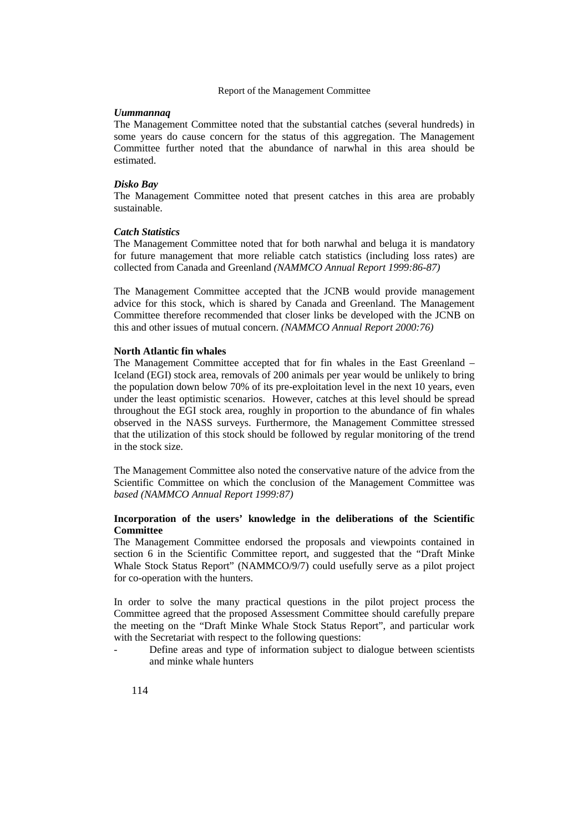#### *Uummannaq*

The Management Committee noted that the substantial catches (several hundreds) in some years do cause concern for the status of this aggregation. The Management Committee further noted that the abundance of narwhal in this area should be estimated.

#### *Disko Bay*

The Management Committee noted that present catches in this area are probably sustainable.

# *Catch Statistics*

The Management Committee noted that for both narwhal and beluga it is mandatory for future management that more reliable catch statistics (including loss rates) are collected from Canada and Greenland *(NAMMCO Annual Report 1999:86-87)*

The Management Committee accepted that the JCNB would provide management advice for this stock, which is shared by Canada and Greenland. The Management Committee therefore recommended that closer links be developed with the JCNB on this and other issues of mutual concern. *(NAMMCO Annual Report 2000:76)*

#### **North Atlantic fin whales**

The Management Committee accepted that for fin whales in the East Greenland – Iceland (EGI) stock area, removals of 200 animals per year would be unlikely to bring the population down below 70% of its pre-exploitation level in the next 10 years, even under the least optimistic scenarios. However, catches at this level should be spread throughout the EGI stock area, roughly in proportion to the abundance of fin whales observed in the NASS surveys. Furthermore, the Management Committee stressed that the utilization of this stock should be followed by regular monitoring of the trend in the stock size.

The Management Committee also noted the conservative nature of the advice from the Scientific Committee on which the conclusion of the Management Committee was *based (NAMMCO Annual Report 1999:87)*

## **Incorporation of the users' knowledge in the deliberations of the Scientific Committee**

The Management Committee endorsed the proposals and viewpoints contained in section 6 in the Scientific Committee report, and suggested that the "Draft Minke Whale Stock Status Report" (NAMMCO/9/7) could usefully serve as a pilot project for co-operation with the hunters.

In order to solve the many practical questions in the pilot project process the Committee agreed that the proposed Assessment Committee should carefully prepare the meeting on the "Draft Minke Whale Stock Status Report", and particular work with the Secretariat with respect to the following questions:

Define areas and type of information subject to dialogue between scientists and minke whale hunters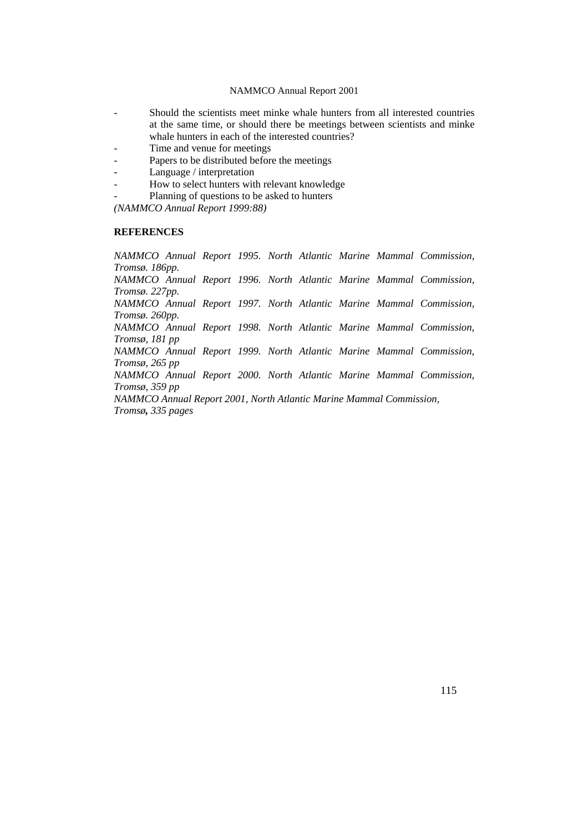- Should the scientists meet minke whale hunters from all interested countries at the same time, or should there be meetings between scientists and minke whale hunters in each of the interested countries?
- Time and venue for meetings
- Papers to be distributed before the meetings
- Language / interpretation
- How to select hunters with relevant knowledge
- Planning of questions to be asked to hunters

*(NAMMCO Annual Report 1999:88)*

# **REFERENCES**

*NAMMCO Annual Report 1995. North Atlantic Marine Mammal Commission, Tromsø. 186pp. NAMMCO Annual Report 1996. North Atlantic Marine Mammal Commission, Tromsø. 227pp. NAMMCO Annual Report 1997. North Atlantic Marine Mammal Commission, Tromsø. 260pp. NAMMCO Annual Report 1998. North Atlantic Marine Mammal Commission, Tromsø, 181 pp NAMMCO Annual Report 1999. North Atlantic Marine Mammal Commission, Tromsø, 265 pp NAMMCO Annual Report 2000. North Atlantic Marine Mammal Commission, Tromsø, 359 pp NAMMCO Annual Report 2001, North Atlantic Marine Mammal Commission, Tromsø, 335 pages*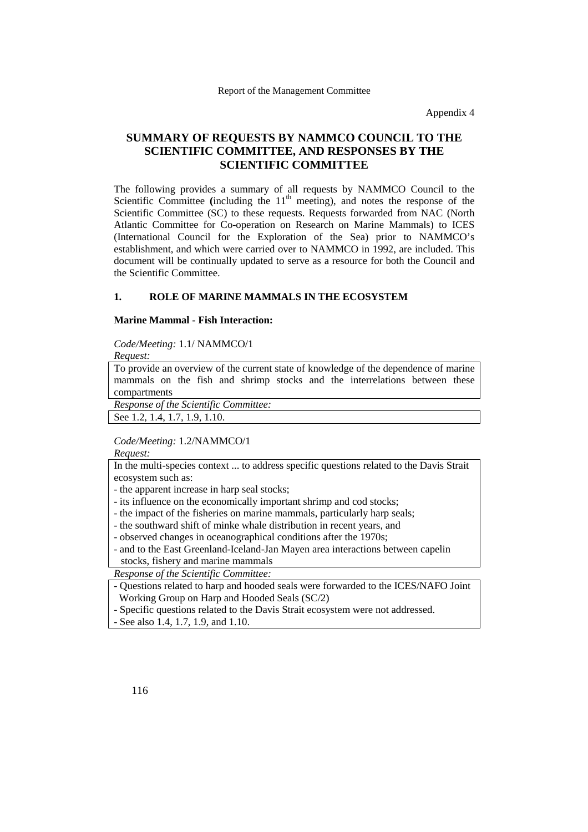Appendix 4

# **SUMMARY OF REQUESTS BY NAMMCO COUNCIL TO THE SCIENTIFIC COMMITTEE, AND RESPONSES BY THE SCIENTIFIC COMMITTEE**

The following provides a summary of all requests by NAMMCO Council to the Scientific Committee (including the  $11<sup>th</sup>$  meeting), and notes the response of the Scientific Committee (SC) to these requests. Requests forwarded from NAC (North Atlantic Committee for Co-operation on Research on Marine Mammals) to ICES (International Council for the Exploration of the Sea) prior to NAMMCO's establishment, and which were carried over to NAMMCO in 1992, are included. This document will be continually updated to serve as a resource for both the Council and the Scientific Committee.

#### **1. ROLE OF MARINE MAMMALS IN THE ECOSYSTEM**

## **Marine Mammal - Fish Interaction:**

*Code/Meeting:* 1.1/ NAMMCO/1

*Request:* To provide an overview of the current state of knowledge of the dependence of marine mammals on the fish and shrimp stocks and the interrelations between these compartments

*Response of the Scientific Committee:*

See 1.2, 1.4, 1.7, 1.9, 1.10.

*Code/Meeting:* 1.2/NAMMCO/1

*Request:*

In the multi-species context ... to address specific questions related to the Davis Strait ecosystem such as:

- the apparent increase in harp seal stocks;

- its influence on the economically important shrimp and cod stocks;

- the impact of the fisheries on marine mammals, particularly harp seals;
- the southward shift of minke whale distribution in recent years, and
- observed changes in oceanographical conditions after the 1970s;

- and to the East Greenland-Iceland-Jan Mayen area interactions between capelin stocks, fishery and marine mammals

*Response of the Scientific Committee:*

- Questions related to harp and hooded seals were forwarded to the ICES/NAFO Joint Working Group on Harp and Hooded Seals (SC/2)

- Specific questions related to the Davis Strait ecosystem were not addressed.

- See also 1.4, 1.7, 1.9, and 1.10.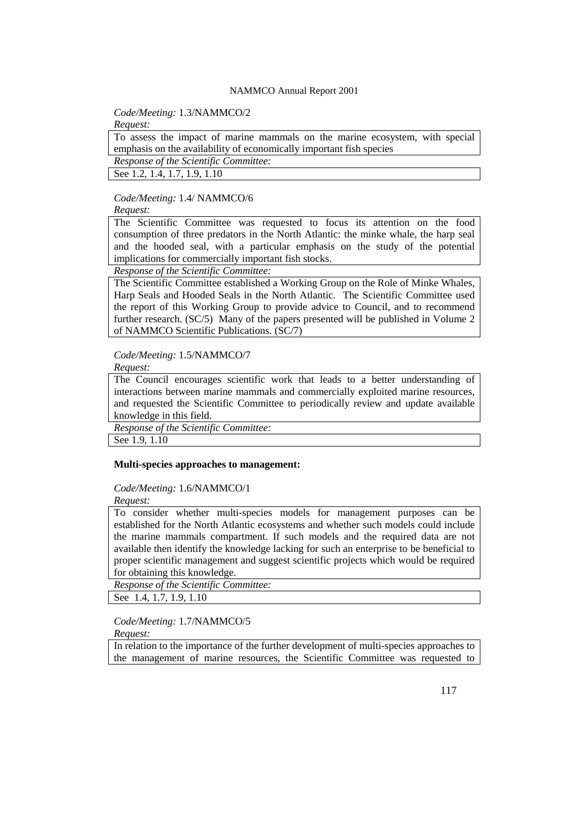*Code/Meeting:* 1.3/NAMMCO/2

*Request:*

To assess the impact of marine mammals on the marine ecosystem, with special emphasis on the availability of economically important fish species *Response of the Scientific Committee:*

See 1.2, 1.4, 1.7, 1.9, 1.10

#### *Code/Meeting:* 1.4/ NAMMCO/6

*Request:*

The Scientific Committee was requested to focus its attention on the food consumption of three predators in the North Atlantic: the minke whale, the harp seal and the hooded seal, with a particular emphasis on the study of the potential implications for commercially important fish stocks.

*Response of the Scientific Committee:*

The Scientific Committee established a Working Group on the Role of Minke Whales, Harp Seals and Hooded Seals in the North Atlantic. The Scientific Committee used the report of this Working Group to provide advice to Council, and to recommend further research. (SC/5) Many of the papers presented will be published in Volume 2 of NAMMCO Scientific Publications. (SC/7)

*Code/Meeting:* 1.5/NAMMCO/7

*Request:*

The Council encourages scientific work that leads to a better understanding of interactions between marine mammals and commercially exploited marine resources, and requested the Scientific Committee to periodically review and update available knowledge in this field.

*Response of the Scientific Committee:*

See 1.9, 1.10

#### **Multi-species approaches to management:**

*Code/Meeting:* 1.6/NAMMCO/1

*Request:*

To consider whether multi-species models for management purposes can be established for the North Atlantic ecosystems and whether such models could include the marine mammals compartment. If such models and the required data are not available then identify the knowledge lacking for such an enterprise to be beneficial to proper scientific management and suggest scientific projects which would be required for obtaining this knowledge.

*Response of the Scientific Committee:*

See 1.4, 1.7, 1.9, 1.10

# *Code/Meeting:* 1.7/NAMMCO/5

*Request:*

In relation to the importance of the further development of multi-species approaches to the management of marine resources, the Scientific Committee was requested to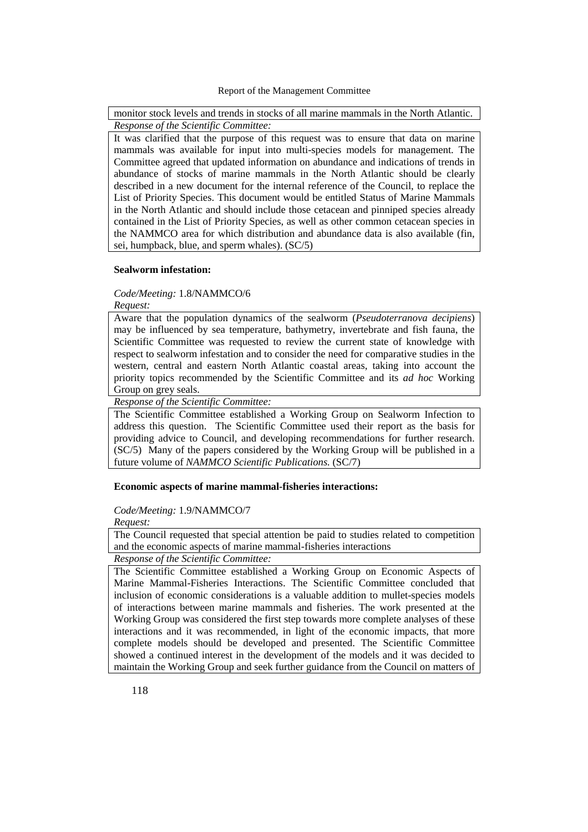monitor stock levels and trends in stocks of all marine mammals in the North Atlantic. *Response of the Scientific Committee:*

It was clarified that the purpose of this request was to ensure that data on marine mammals was available for input into multi-species models for management. The Committee agreed that updated information on abundance and indications of trends in abundance of stocks of marine mammals in the North Atlantic should be clearly described in a new document for the internal reference of the Council, to replace the List of Priority Species. This document would be entitled Status of Marine Mammals in the North Atlantic and should include those cetacean and pinniped species already contained in the List of Priority Species, as well as other common cetacean species in the NAMMCO area for which distribution and abundance data is also available (fin, sei, humpback, blue, and sperm whales). (SC/5)

#### **Sealworm infestation:**

#### *Code/Meeting:* 1.8/NAMMCO/6

*Request:*

Aware that the population dynamics of the sealworm (*Pseudoterranova decipiens*) may be influenced by sea temperature, bathymetry, invertebrate and fish fauna, the Scientific Committee was requested to review the current state of knowledge with respect to sealworm infestation and to consider the need for comparative studies in the western, central and eastern North Atlantic coastal areas, taking into account the priority topics recommended by the Scientific Committee and its *ad hoc* Working Group on grey seals.

*Response of the Scientific Committee:*

The Scientific Committee established a Working Group on Sealworm Infection to address this question. The Scientific Committee used their report as the basis for providing advice to Council, and developing recommendations for further research. (SC/5) Many of the papers considered by the Working Group will be published in a future volume of *NAMMCO Scientific Publications.* (SC/7)

## **Economic aspects of marine mammal-fisheries interactions:**

#### *Code/Meeting:* 1.9/NAMMCO/7

*Request:*

The Council requested that special attention be paid to studies related to competition and the economic aspects of marine mammal-fisheries interactions

*Response of the Scientific Committee:*

The Scientific Committee established a Working Group on Economic Aspects of Marine Mammal-Fisheries Interactions. The Scientific Committee concluded that inclusion of economic considerations is a valuable addition to mullet-species models of interactions between marine mammals and fisheries. The work presented at the Working Group was considered the first step towards more complete analyses of these interactions and it was recommended, in light of the economic impacts, that more complete models should be developed and presented. The Scientific Committee showed a continued interest in the development of the models and it was decided to maintain the Working Group and seek further guidance from the Council on matters of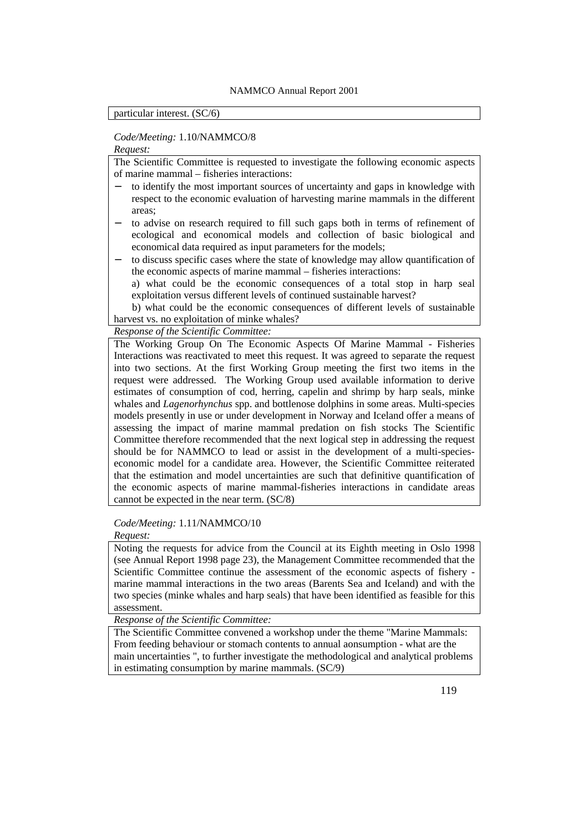# particular interest. (SC/6)

## *Code/Meeting:* 1.10/NAMMCO/8

#### *Request:*

The Scientific Committee is requested to investigate the following economic aspects of marine mammal – fisheries interactions:

- to identify the most important sources of uncertainty and gaps in knowledge with respect to the economic evaluation of harvesting marine mammals in the different areas;
- to advise on research required to fill such gaps both in terms of refinement of ecological and economical models and collection of basic biological and economical data required as input parameters for the models;
- to discuss specific cases where the state of knowledge may allow quantification of the economic aspects of marine mammal – fisheries interactions:
	- a) what could be the economic consequences of a total stop in harp seal exploitation versus different levels of continued sustainable harvest?

 b) what could be the economic consequences of different levels of sustainable harvest vs. no exploitation of minke whales?

# *Response of the Scientific Committee:*

The Working Group On The Economic Aspects Of Marine Mammal - Fisheries Interactions was reactivated to meet this request. It was agreed to separate the request into two sections. At the first Working Group meeting the first two items in the request were addressed. The Working Group used available information to derive estimates of consumption of cod, herring, capelin and shrimp by harp seals, minke whales and *Lagenorhynchus* spp. and bottlenose dolphins in some areas. Multi-species models presently in use or under development in Norway and Iceland offer a means of assessing the impact of marine mammal predation on fish stocks The Scientific Committee therefore recommended that the next logical step in addressing the request should be for NAMMCO to lead or assist in the development of a multi-specieseconomic model for a candidate area. However, the Scientific Committee reiterated that the estimation and model uncertainties are such that definitive quantification of the economic aspects of marine mammal-fisheries interactions in candidate areas cannot be expected in the near term. (SC/8)

## *Code/Meeting:* 1.11/NAMMCO/10

*Request:*

Noting the requests for advice from the Council at its Eighth meeting in Oslo 1998 (see Annual Report 1998 page 23), the Management Committee recommended that the Scientific Committee continue the assessment of the economic aspects of fishery marine mammal interactions in the two areas (Barents Sea and Iceland) and with the two species (minke whales and harp seals) that have been identified as feasible for this assessment.

*Response of the Scientific Committee:*

The Scientific Committee convened a workshop under the theme "Marine Mammals: From feeding behaviour or stomach contents to annual aonsumption - what are the main uncertainties ", to further investigate the methodological and analytical problems in estimating consumption by marine mammals. (SC/9)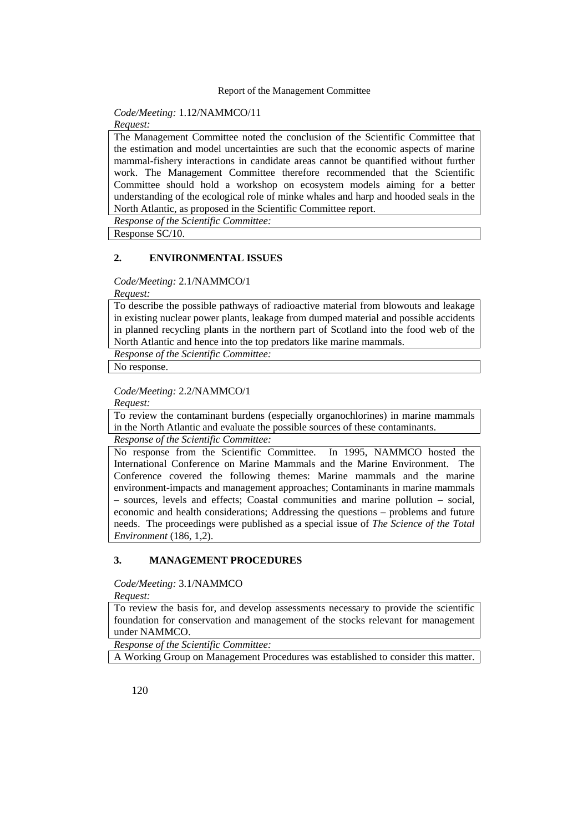# *Code/Meeting:* 1.12/NAMMCO/11

*Request:*

The Management Committee noted the conclusion of the Scientific Committee that the estimation and model uncertainties are such that the economic aspects of marine mammal-fishery interactions in candidate areas cannot be quantified without further work. The Management Committee therefore recommended that the Scientific Committee should hold a workshop on ecosystem models aiming for a better understanding of the ecological role of minke whales and harp and hooded seals in the North Atlantic, as proposed in the Scientific Committee report.

*Response of the Scientific Committee:*

Response SC/10.

## **2. ENVIRONMENTAL ISSUES**

*Code/Meeting:* 2.1/NAMMCO/1

*Request:*

To describe the possible pathways of radioactive material from blowouts and leakage in existing nuclear power plants, leakage from dumped material and possible accidents in planned recycling plants in the northern part of Scotland into the food web of the North Atlantic and hence into the top predators like marine mammals.

*Response of the Scientific Committee:*

No response.

*Code/Meeting:* 2.2/NAMMCO/1

*Request:*

To review the contaminant burdens (especially organochlorines) in marine mammals in the North Atlantic and evaluate the possible sources of these contaminants.

*Response of the Scientific Committee:*

No response from the Scientific Committee. In 1995, NAMMCO hosted the International Conference on Marine Mammals and the Marine Environment. The Conference covered the following themes: Marine mammals and the marine environment-impacts and management approaches; Contaminants in marine mammals – sources, levels and effects; Coastal communities and marine pollution – social, economic and health considerations; Addressing the questions – problems and future needs. The proceedings were published as a special issue of *The Science of the Total Environment* (186, 1,2).

## **3. MANAGEMENT PROCEDURES**

*Code/Meeting:* 3.1/NAMMCO

*Request:*

To review the basis for, and develop assessments necessary to provide the scientific foundation for conservation and management of the stocks relevant for management under NAMMCO.

*Response of the Scientific Committee:*

A Working Group on Management Procedures was established to consider this matter.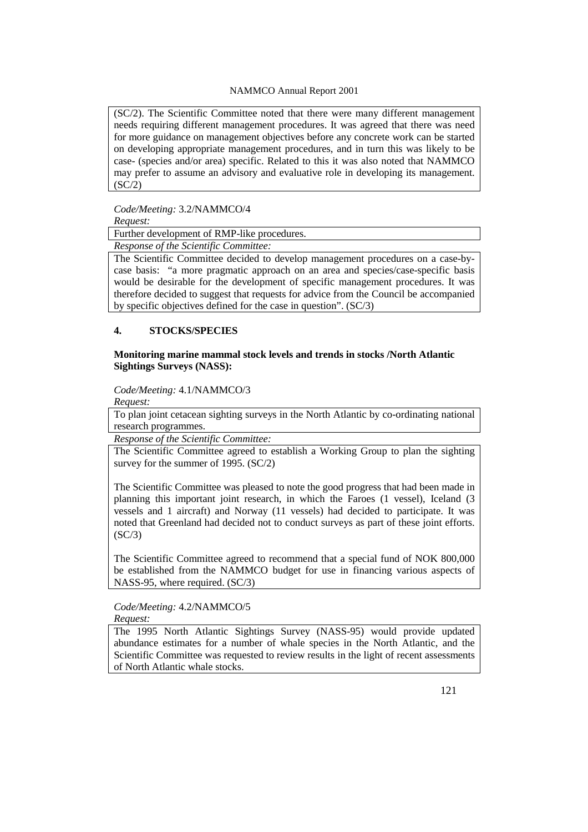(SC/2). The Scientific Committee noted that there were many different management needs requiring different management procedures. It was agreed that there was need for more guidance on management objectives before any concrete work can be started on developing appropriate management procedures, and in turn this was likely to be case- (species and/or area) specific. Related to this it was also noted that NAMMCO may prefer to assume an advisory and evaluative role in developing its management.  $(SC/2)$ 

*Code/Meeting:* 3.2/NAMMCO/4 *Request:*

Further development of RMP-like procedures.

*Response of the Scientific Committee:*

The Scientific Committee decided to develop management procedures on a case-bycase basis: "a more pragmatic approach on an area and species/case-specific basis would be desirable for the development of specific management procedures. It was therefore decided to suggest that requests for advice from the Council be accompanied by specific objectives defined for the case in question". (SC/3)

# **4. STOCKS/SPECIES**

## **Monitoring marine mammal stock levels and trends in stocks /North Atlantic Sightings Surveys (NASS):**

*Code/Meeting:* 4.1/NAMMCO/3

*Request:*

To plan joint cetacean sighting surveys in the North Atlantic by co-ordinating national research programmes.

*Response of the Scientific Committee:*

The Scientific Committee agreed to establish a Working Group to plan the sighting survey for the summer of 1995. (SC/2)

The Scientific Committee was pleased to note the good progress that had been made in planning this important joint research, in which the Faroes (1 vessel), Iceland (3 vessels and 1 aircraft) and Norway (11 vessels) had decided to participate. It was noted that Greenland had decided not to conduct surveys as part of these joint efforts.  $(SC/3)$ 

The Scientific Committee agreed to recommend that a special fund of NOK 800,000 be established from the NAMMCO budget for use in financing various aspects of NASS-95, where required. (SC/3)

## *Code/Meeting:* 4.2/NAMMCO/5 *Request:*

The 1995 North Atlantic Sightings Survey (NASS-95) would provide updated abundance estimates for a number of whale species in the North Atlantic, and the Scientific Committee was requested to review results in the light of recent assessments of North Atlantic whale stocks.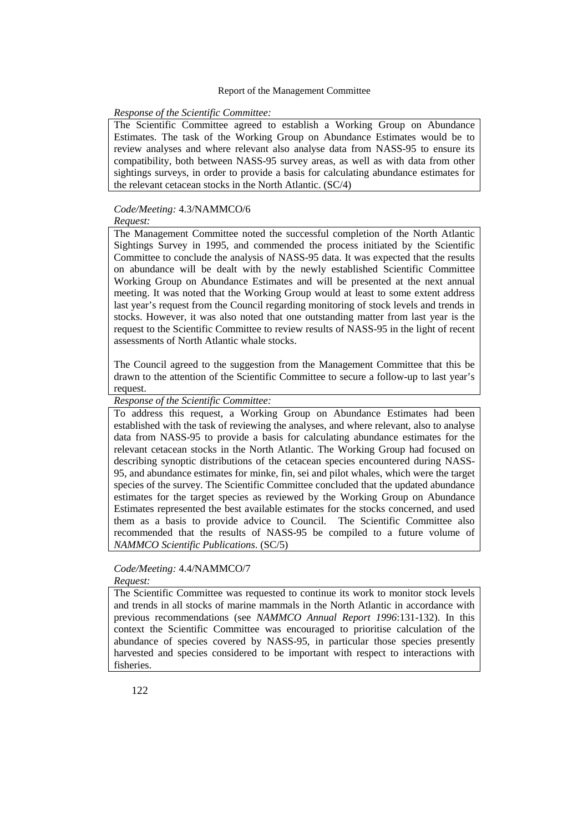#### *Response of the Scientific Committee:*

The Scientific Committee agreed to establish a Working Group on Abundance Estimates. The task of the Working Group on Abundance Estimates would be to review analyses and where relevant also analyse data from NASS-95 to ensure its compatibility, both between NASS-95 survey areas, as well as with data from other sightings surveys, in order to provide a basis for calculating abundance estimates for the relevant cetacean stocks in the North Atlantic. (SC/4)

#### *Code/Meeting:* 4.3/NAMMCO/6 *Request:*

The Management Committee noted the successful completion of the North Atlantic Sightings Survey in 1995, and commended the process initiated by the Scientific Committee to conclude the analysis of NASS-95 data. It was expected that the results on abundance will be dealt with by the newly established Scientific Committee Working Group on Abundance Estimates and will be presented at the next annual meeting. It was noted that the Working Group would at least to some extent address last year's request from the Council regarding monitoring of stock levels and trends in stocks. However, it was also noted that one outstanding matter from last year is the request to the Scientific Committee to review results of NASS-95 in the light of recent assessments of North Atlantic whale stocks.

The Council agreed to the suggestion from the Management Committee that this be drawn to the attention of the Scientific Committee to secure a follow-up to last year's request.

*Response of the Scientific Committee:*

To address this request, a Working Group on Abundance Estimates had been established with the task of reviewing the analyses, and where relevant, also to analyse data from NASS-95 to provide a basis for calculating abundance estimates for the relevant cetacean stocks in the North Atlantic. The Working Group had focused on describing synoptic distributions of the cetacean species encountered during NASS-95, and abundance estimates for minke, fin, sei and pilot whales, which were the target species of the survey. The Scientific Committee concluded that the updated abundance estimates for the target species as reviewed by the Working Group on Abundance Estimates represented the best available estimates for the stocks concerned, and used them as a basis to provide advice to Council. The Scientific Committee also recommended that the results of NASS-95 be compiled to a future volume of *NAMMCO Scientific Publications*. (SC/5)

# *Code/Meeting:* 4.4/NAMMCO/7

#### *Request:*

The Scientific Committee was requested to continue its work to monitor stock levels and trends in all stocks of marine mammals in the North Atlantic in accordance with previous recommendations (see *NAMMCO Annual Report 1996*:131-132). In this context the Scientific Committee was encouraged to prioritise calculation of the abundance of species covered by NASS-95, in particular those species presently harvested and species considered to be important with respect to interactions with fisheries.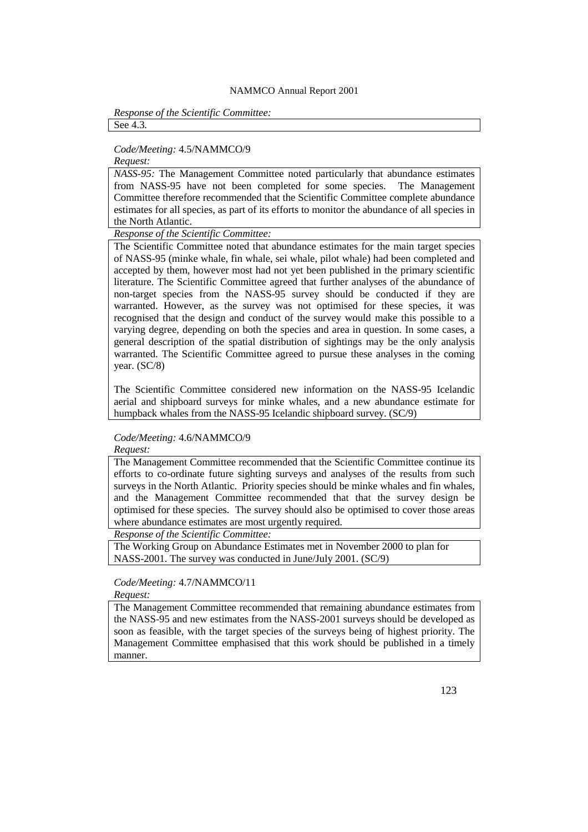#### *Response of the Scientific Committee:* See 4.3.

## *Code/Meeting:* 4.5/NAMMCO/9

*Request:*

*NASS-95:* The Management Committee noted particularly that abundance estimates from NASS-95 have not been completed for some species. The Management Committee therefore recommended that the Scientific Committee complete abundance estimates for all species, as part of its efforts to monitor the abundance of all species in the North Atlantic.

*Response of the Scientific Committee:*

The Scientific Committee noted that abundance estimates for the main target species of NASS-95 (minke whale, fin whale, sei whale, pilot whale) had been completed and accepted by them, however most had not yet been published in the primary scientific literature. The Scientific Committee agreed that further analyses of the abundance of non-target species from the NASS-95 survey should be conducted if they are warranted. However, as the survey was not optimised for these species, it was recognised that the design and conduct of the survey would make this possible to a varying degree, depending on both the species and area in question. In some cases, a general description of the spatial distribution of sightings may be the only analysis warranted. The Scientific Committee agreed to pursue these analyses in the coming year. (SC/8)

The Scientific Committee considered new information on the NASS-95 Icelandic aerial and shipboard surveys for minke whales, and a new abundance estimate for humpback whales from the NASS-95 Icelandic shipboard survey. (SC/9)

# *Code/Meeting:* 4.6/NAMMCO/9

*Request:*

The Management Committee recommended that the Scientific Committee continue its efforts to co-ordinate future sighting surveys and analyses of the results from such surveys in the North Atlantic. Priority species should be minke whales and fin whales, and the Management Committee recommended that that the survey design be optimised for these species. The survey should also be optimised to cover those areas where abundance estimates are most urgently required.

*Response of the Scientific Committee:*

The Working Group on Abundance Estimates met in November 2000 to plan for NASS-2001. The survey was conducted in June/July 2001. (SC/9)

# *Code/Meeting:* 4.7/NAMMCO/11

*Request:*

The Management Committee recommended that remaining abundance estimates from the NASS-95 and new estimates from the NASS-2001 surveys should be developed as soon as feasible, with the target species of the surveys being of highest priority. The Management Committee emphasised that this work should be published in a timely manner.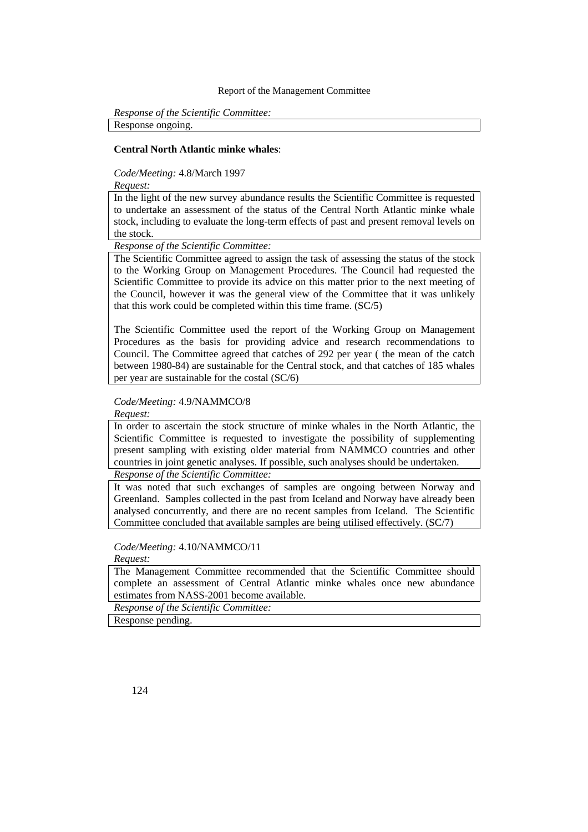*Response of the Scientific Committee:* Response ongoing.

## **Central North Atlantic minke whales**:

*Code/Meeting:* 4.8/March 1997

*Request:*

In the light of the new survey abundance results the Scientific Committee is requested to undertake an assessment of the status of the Central North Atlantic minke whale stock, including to evaluate the long-term effects of past and present removal levels on the stock.

*Response of the Scientific Committee:*

The Scientific Committee agreed to assign the task of assessing the status of the stock to the Working Group on Management Procedures. The Council had requested the Scientific Committee to provide its advice on this matter prior to the next meeting of the Council, however it was the general view of the Committee that it was unlikely that this work could be completed within this time frame. (SC/5)

The Scientific Committee used the report of the Working Group on Management Procedures as the basis for providing advice and research recommendations to Council. The Committee agreed that catches of 292 per year ( the mean of the catch between 1980-84) are sustainable for the Central stock, and that catches of 185 whales per year are sustainable for the costal (SC/6)

*Code/Meeting:* 4.9/NAMMCO/8

*Request:*

In order to ascertain the stock structure of minke whales in the North Atlantic, the Scientific Committee is requested to investigate the possibility of supplementing present sampling with existing older material from NAMMCO countries and other countries in joint genetic analyses. If possible, such analyses should be undertaken.

*Response of the Scientific Committee:*

It was noted that such exchanges of samples are ongoing between Norway and Greenland. Samples collected in the past from Iceland and Norway have already been analysed concurrently, and there are no recent samples from Iceland. The Scientific Committee concluded that available samples are being utilised effectively. (SC/7)

*Code/Meeting:* 4.10/NAMMCO/11

*Request:*

The Management Committee recommended that the Scientific Committee should complete an assessment of Central Atlantic minke whales once new abundance estimates from NASS-2001 become available.

*Response of the Scientific Committee:*

Response pending.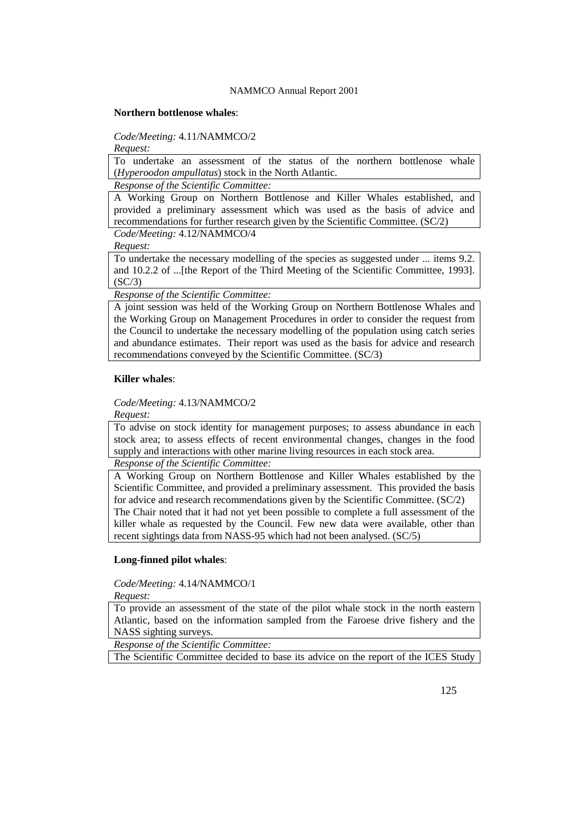#### **Northern bottlenose whales**:

*Code/Meeting:* 4.11/NAMMCO/2

*Request:*

To undertake an assessment of the status of the northern bottlenose whale (*Hyperoodon ampullatus*) stock in the North Atlantic.

*Response of the Scientific Committee:*

A Working Group on Northern Bottlenose and Killer Whales established, and provided a preliminary assessment which was used as the basis of advice and recommendations for further research given by the Scientific Committee. (SC/2) *Code/Meeting:* 4.12/NAMMCO/4

*Request:*

To undertake the necessary modelling of the species as suggested under ... items 9.2. and 10.2.2 of ...[the Report of the Third Meeting of the Scientific Committee, 1993].  $(SC/3)$ 

*Response of the Scientific Committee:*

A joint session was held of the Working Group on Northern Bottlenose Whales and the Working Group on Management Procedures in order to consider the request from the Council to undertake the necessary modelling of the population using catch series and abundance estimates. Their report was used as the basis for advice and research recommendations conveyed by the Scientific Committee. (SC/3)

## **Killer whales**:

*Code/Meeting:* 4.13/NAMMCO/2

*Request:*

To advise on stock identity for management purposes; to assess abundance in each stock area; to assess effects of recent environmental changes, changes in the food supply and interactions with other marine living resources in each stock area.

*Response of the Scientific Committee:*

A Working Group on Northern Bottlenose and Killer Whales established by the Scientific Committee, and provided a preliminary assessment. This provided the basis for advice and research recommendations given by the Scientific Committee. (SC/2) The Chair noted that it had not yet been possible to complete a full assessment of the killer whale as requested by the Council. Few new data were available, other than recent sightings data from NASS-95 which had not been analysed. (SC/5)

## **Long-finned pilot whales**:

*Code/Meeting:* 4.14/NAMMCO/1

*Request:*

To provide an assessment of the state of the pilot whale stock in the north eastern Atlantic, based on the information sampled from the Faroese drive fishery and the NASS sighting surveys.

*Response of the Scientific Committee:*

The Scientific Committee decided to base its advice on the report of the ICES Study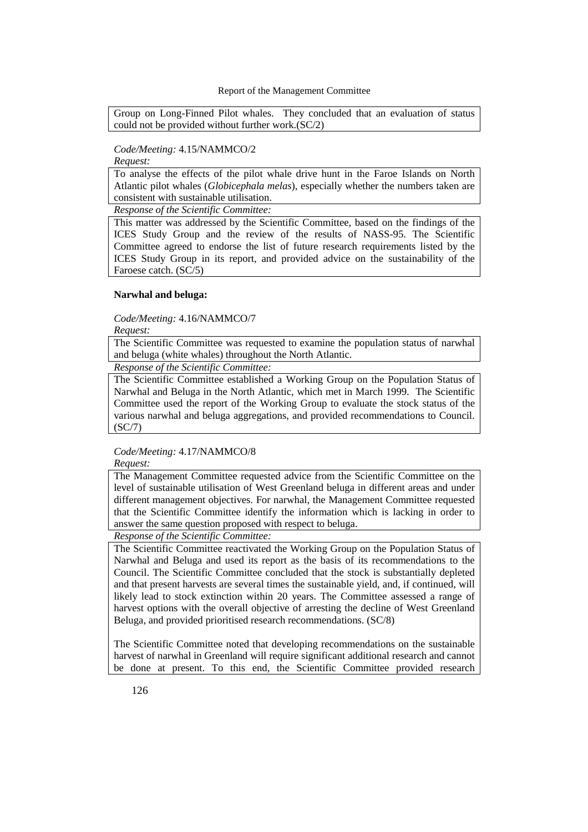Group on Long-Finned Pilot whales. They concluded that an evaluation of status could not be provided without further work.(SC/2)

## *Code/Meeting:* 4.15/NAMMCO/2

*Request:*

To analyse the effects of the pilot whale drive hunt in the Faroe Islands on North Atlantic pilot whales (*Globicephala melas*), especially whether the numbers taken are consistent with sustainable utilisation.

*Response of the Scientific Committee:*

This matter was addressed by the Scientific Committee, based on the findings of the ICES Study Group and the review of the results of NASS-95. The Scientific Committee agreed to endorse the list of future research requirements listed by the ICES Study Group in its report, and provided advice on the sustainability of the Faroese catch. (SC/5)

## **Narwhal and beluga:**

*Code/Meeting:* 4.16/NAMMCO/7

*Request:*

The Scientific Committee was requested to examine the population status of narwhal and beluga (white whales) throughout the North Atlantic.

*Response of the Scientific Committee:*

The Scientific Committee established a Working Group on the Population Status of Narwhal and Beluga in the North Atlantic, which met in March 1999. The Scientific Committee used the report of the Working Group to evaluate the stock status of the various narwhal and beluga aggregations, and provided recommendations to Council. (SC/7)

*Code/Meeting:* 4.17/NAMMCO/8 *Request:*

The Management Committee requested advice from the Scientific Committee on the level of sustainable utilisation of West Greenland beluga in different areas and under different management objectives. For narwhal, the Management Committee requested that the Scientific Committee identify the information which is lacking in order to answer the same question proposed with respect to beluga.

*Response of the Scientific Committee:*

The Scientific Committee reactivated the Working Group on the Population Status of Narwhal and Beluga and used its report as the basis of its recommendations to the Council. The Scientific Committee concluded that the stock is substantially depleted and that present harvests are several times the sustainable yield, and, if continued, will likely lead to stock extinction within 20 years. The Committee assessed a range of harvest options with the overall objective of arresting the decline of West Greenland Beluga, and provided prioritised research recommendations. (SC/8)

The Scientific Committee noted that developing recommendations on the sustainable harvest of narwhal in Greenland will require significant additional research and cannot be done at present. To this end, the Scientific Committee provided research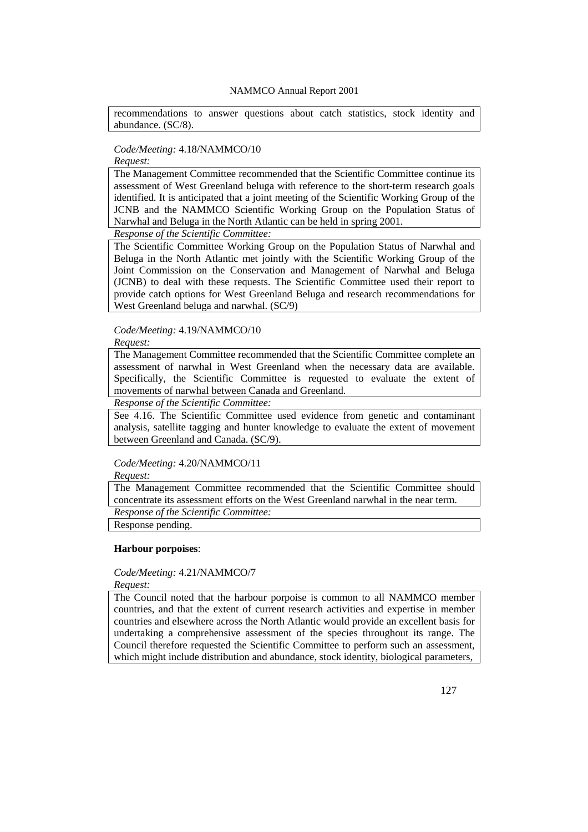recommendations to answer questions about catch statistics, stock identity and abundance. (SC/8).

# *Code/Meeting:* 4.18/NAMMCO/10

# *Request:*

The Management Committee recommended that the Scientific Committee continue its assessment of West Greenland beluga with reference to the short-term research goals identified. It is anticipated that a joint meeting of the Scientific Working Group of the JCNB and the NAMMCO Scientific Working Group on the Population Status of Narwhal and Beluga in the North Atlantic can be held in spring 2001.

*Response of the Scientific Committee:*

The Scientific Committee Working Group on the Population Status of Narwhal and Beluga in the North Atlantic met jointly with the Scientific Working Group of the Joint Commission on the Conservation and Management of Narwhal and Beluga (JCNB) to deal with these requests. The Scientific Committee used their report to provide catch options for West Greenland Beluga and research recommendations for West Greenland beluga and narwhal. (SC/9)

*Code/Meeting:* 4.19/NAMMCO/10 *Request:*

The Management Committee recommended that the Scientific Committee complete an assessment of narwhal in West Greenland when the necessary data are available. Specifically, the Scientific Committee is requested to evaluate the extent of movements of narwhal between Canada and Greenland.

*Response of the Scientific Committee:*

See 4.16. The Scientific Committee used evidence from genetic and contaminant analysis, satellite tagging and hunter knowledge to evaluate the extent of movement between Greenland and Canada. (SC/9).

# *Code/Meeting:* 4.20/NAMMCO/11

*Request:*

The Management Committee recommended that the Scientific Committee should concentrate its assessment efforts on the West Greenland narwhal in the near term. *Response of the Scientific Committee:*

Response pending.

#### **Harbour porpoises**:

*Code/Meeting:* 4.21/NAMMCO/7 *Request:*

The Council noted that the harbour porpoise is common to all NAMMCO member countries, and that the extent of current research activities and expertise in member countries and elsewhere across the North Atlantic would provide an excellent basis for undertaking a comprehensive assessment of the species throughout its range. The Council therefore requested the Scientific Committee to perform such an assessment, which might include distribution and abundance, stock identity, biological parameters,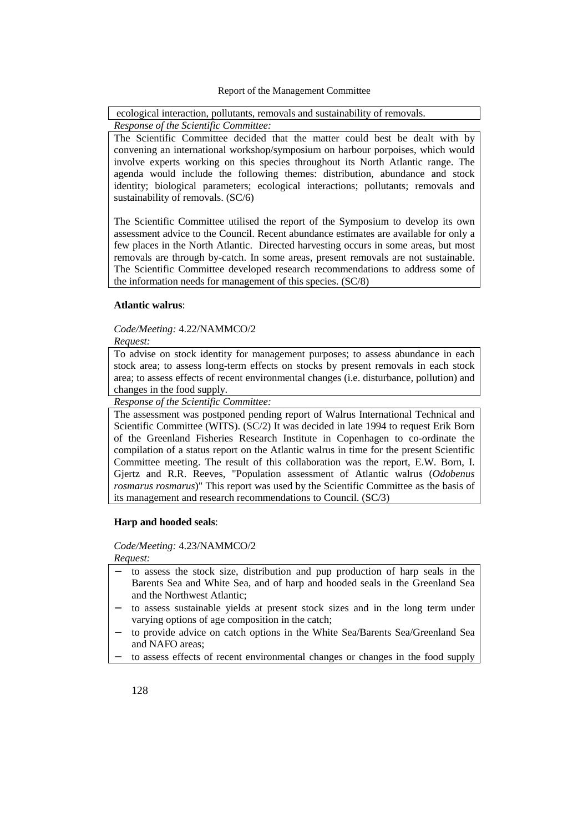ecological interaction, pollutants, removals and sustainability of removals.

*Response of the Scientific Committee:* The Scientific Committee decided that the matter could best be dealt with by convening an international workshop/symposium on harbour porpoises, which would

involve experts working on this species throughout its North Atlantic range. The agenda would include the following themes: distribution, abundance and stock identity; biological parameters; ecological interactions; pollutants; removals and sustainability of removals. (SC/6)

The Scientific Committee utilised the report of the Symposium to develop its own assessment advice to the Council. Recent abundance estimates are available for only a few places in the North Atlantic. Directed harvesting occurs in some areas, but most removals are through by-catch. In some areas, present removals are not sustainable. The Scientific Committee developed research recommendations to address some of the information needs for management of this species. (SC/8)

#### **Atlantic walrus**:

#### *Code/Meeting:* 4.22/NAMMCO/2 *Request:*

To advise on stock identity for management purposes; to assess abundance in each stock area; to assess long-term effects on stocks by present removals in each stock area; to assess effects of recent environmental changes (i.e. disturbance, pollution) and changes in the food supply.

*Response of the Scientific Committee:*

The assessment was postponed pending report of Walrus International Technical and Scientific Committee (WITS). (SC/2) It was decided in late 1994 to request Erik Born of the Greenland Fisheries Research Institute in Copenhagen to co-ordinate the compilation of a status report on the Atlantic walrus in time for the present Scientific Committee meeting. The result of this collaboration was the report, E.W. Born, I. Gjertz and R.R. Reeves, "Population assessment of Atlantic walrus (*Odobenus rosmarus rosmarus*)" This report was used by the Scientific Committee as the basis of its management and research recommendations to Council. (SC/3)

## **Harp and hooded seals**:

*Code/Meeting:* 4.23/NAMMCO/2

*Request:*

- to assess the stock size, distribution and pup production of harp seals in the Barents Sea and White Sea, and of harp and hooded seals in the Greenland Sea and the Northwest Atlantic;
- to assess sustainable yields at present stock sizes and in the long term under varying options of age composition in the catch;
- to provide advice on catch options in the White Sea/Barents Sea/Greenland Sea and NAFO areas;
- to assess effects of recent environmental changes or changes in the food supply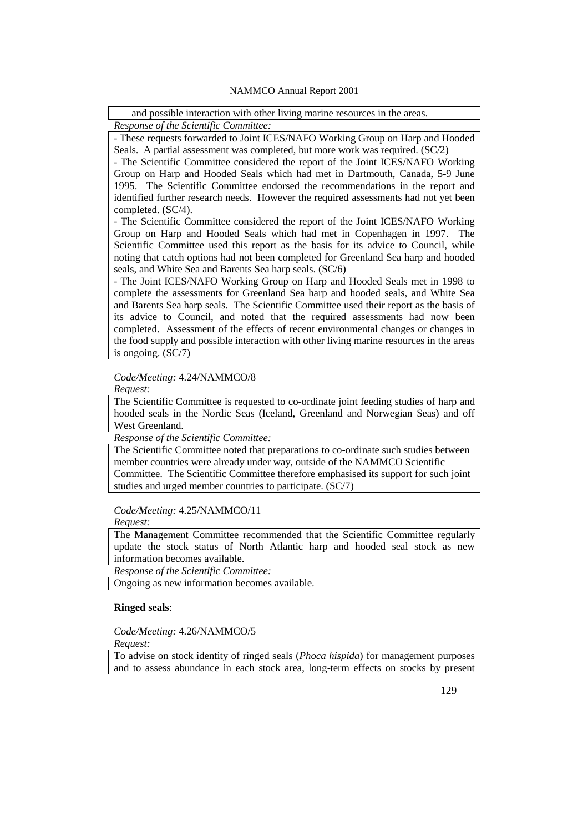| and possible interaction with other living marine resources in the areas. |  |
|---------------------------------------------------------------------------|--|
| Response of the Scientific Committee:                                     |  |

- These requests forwarded to Joint ICES/NAFO Working Group on Harp and Hooded Seals. A partial assessment was completed, but more work was required. (SC/2)

- The Scientific Committee considered the report of the Joint ICES/NAFO Working Group on Harp and Hooded Seals which had met in Dartmouth, Canada, 5-9 June 1995. The Scientific Committee endorsed the recommendations in the report and identified further research needs. However the required assessments had not yet been completed. (SC/4).

- The Scientific Committee considered the report of the Joint ICES/NAFO Working Group on Harp and Hooded Seals which had met in Copenhagen in 1997. The Scientific Committee used this report as the basis for its advice to Council, while noting that catch options had not been completed for Greenland Sea harp and hooded seals, and White Sea and Barents Sea harp seals. (SC/6)

- The Joint ICES/NAFO Working Group on Harp and Hooded Seals met in 1998 to complete the assessments for Greenland Sea harp and hooded seals, and White Sea and Barents Sea harp seals. The Scientific Committee used their report as the basis of its advice to Council, and noted that the required assessments had now been completed. Assessment of the effects of recent environmental changes or changes in the food supply and possible interaction with other living marine resources in the areas is ongoing. (SC/7)

*Code/Meeting:* 4.24/NAMMCO/8

*Request:*

The Scientific Committee is requested to co-ordinate joint feeding studies of harp and hooded seals in the Nordic Seas (Iceland, Greenland and Norwegian Seas) and off West Greenland.

*Response of the Scientific Committee:*

The Scientific Committee noted that preparations to co-ordinate such studies between member countries were already under way, outside of the NAMMCO Scientific Committee. The Scientific Committee therefore emphasised its support for such joint studies and urged member countries to participate. (SC/7)

*Code/Meeting:* 4.25/NAMMCO/11

*Request:*

The Management Committee recommended that the Scientific Committee regularly update the stock status of North Atlantic harp and hooded seal stock as new information becomes available.

*Response of the Scientific Committee:*

Ongoing as new information becomes available.

## **Ringed seals**:

*Code/Meeting:* 4.26/NAMMCO/5

*Request:*

To advise on stock identity of ringed seals (*Phoca hispida*) for management purposes and to assess abundance in each stock area, long-term effects on stocks by present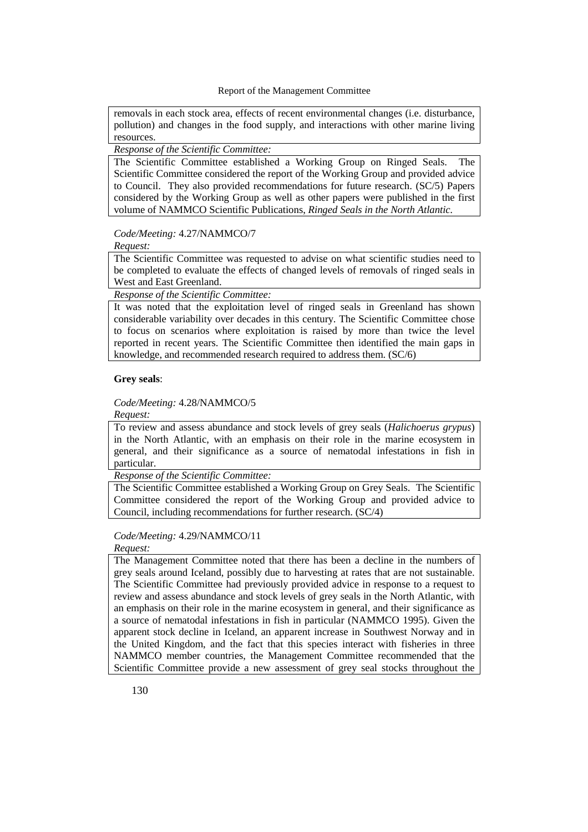removals in each stock area, effects of recent environmental changes (i.e. disturbance, pollution) and changes in the food supply, and interactions with other marine living resources.

# *Response of the Scientific Committee:*

The Scientific Committee established a Working Group on Ringed Seals. The Scientific Committee considered the report of the Working Group and provided advice to Council. They also provided recommendations for future research. (SC/5) Papers considered by the Working Group as well as other papers were published in the first volume of NAMMCO Scientific Publications, *Ringed Seals in the North Atlantic.*

# *Code/Meeting:* 4.27/NAMMCO/7

*Request:*

The Scientific Committee was requested to advise on what scientific studies need to be completed to evaluate the effects of changed levels of removals of ringed seals in West and East Greenland.

*Response of the Scientific Committee:*

It was noted that the exploitation level of ringed seals in Greenland has shown considerable variability over decades in this century. The Scientific Committee chose to focus on scenarios where exploitation is raised by more than twice the level reported in recent years. The Scientific Committee then identified the main gaps in knowledge, and recommended research required to address them. (SC/6)

## **Grey seals**:

### *Code/Meeting:* 4.28/NAMMCO/5

*Request:*

To review and assess abundance and stock levels of grey seals (*Halichoerus grypus*) in the North Atlantic, with an emphasis on their role in the marine ecosystem in general, and their significance as a source of nematodal infestations in fish in particular.

*Response of the Scientific Committee:*

The Scientific Committee established a Working Group on Grey Seals. The Scientific Committee considered the report of the Working Group and provided advice to Council, including recommendations for further research. (SC/4)

# *Code/Meeting:* 4.29/NAMMCO/11

*Request:*

The Management Committee noted that there has been a decline in the numbers of grey seals around Iceland, possibly due to harvesting at rates that are not sustainable. The Scientific Committee had previously provided advice in response to a request to review and assess abundance and stock levels of grey seals in the North Atlantic, with an emphasis on their role in the marine ecosystem in general, and their significance as a source of nematodal infestations in fish in particular (NAMMCO 1995). Given the apparent stock decline in Iceland, an apparent increase in Southwest Norway and in the United Kingdom, and the fact that this species interact with fisheries in three NAMMCO member countries, the Management Committee recommended that the Scientific Committee provide a new assessment of grey seal stocks throughout the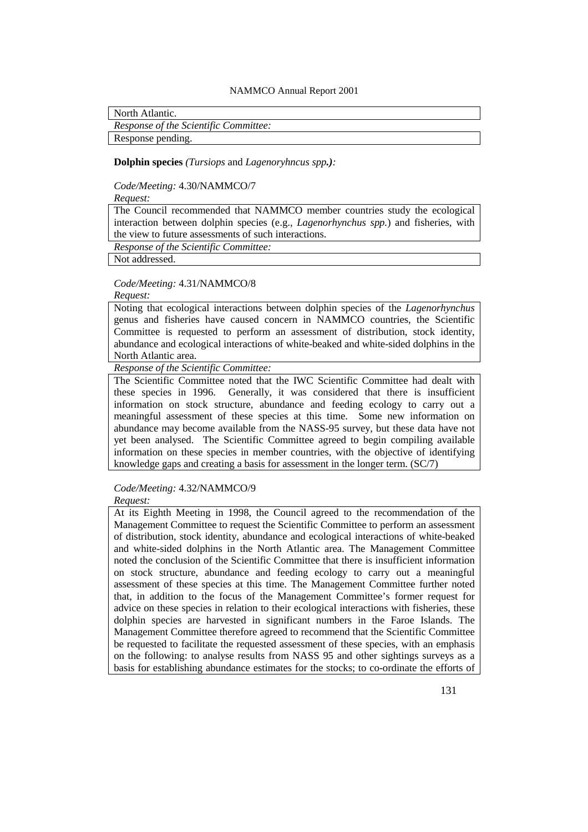North Atlantic.

*Response of the Scientific Committee:*

Response pending.

#### **Dolphin species** *(Tursiops* and *Lagenoryhncus spp.):*

*Code/Meeting:* 4.30/NAMMCO/7

*Request:*

The Council recommended that NAMMCO member countries study the ecological interaction between dolphin species (e.g., *Lagenorhynchus spp.*) and fisheries, with the view to future assessments of such interactions.

*Response of the Scientific Committee:*

Not addressed.

*Code/Meeting:* 4.31/NAMMCO/8

*Request:*

Noting that ecological interactions between dolphin species of the *Lagenorhynchus* genus and fisheries have caused concern in NAMMCO countries, the Scientific Committee is requested to perform an assessment of distribution, stock identity, abundance and ecological interactions of white-beaked and white-sided dolphins in the North Atlantic area.

*Response of the Scientific Committee:*

The Scientific Committee noted that the IWC Scientific Committee had dealt with these species in 1996. Generally, it was considered that there is insufficient information on stock structure, abundance and feeding ecology to carry out a meaningful assessment of these species at this time. Some new information on abundance may become available from the NASS-95 survey, but these data have not yet been analysed. The Scientific Committee agreed to begin compiling available information on these species in member countries, with the objective of identifying knowledge gaps and creating a basis for assessment in the longer term. (SC/7)

*Code/Meeting:* 4.32/NAMMCO/9 *Request:*

At its Eighth Meeting in 1998, the Council agreed to the recommendation of the Management Committee to request the Scientific Committee to perform an assessment of distribution, stock identity, abundance and ecological interactions of white-beaked and white-sided dolphins in the North Atlantic area. The Management Committee noted the conclusion of the Scientific Committee that there is insufficient information on stock structure, abundance and feeding ecology to carry out a meaningful assessment of these species at this time. The Management Committee further noted that, in addition to the focus of the Management Committee's former request for advice on these species in relation to their ecological interactions with fisheries, these dolphin species are harvested in significant numbers in the Faroe Islands. The Management Committee therefore agreed to recommend that the Scientific Committee be requested to facilitate the requested assessment of these species, with an emphasis on the following: to analyse results from NASS 95 and other sightings surveys as a basis for establishing abundance estimates for the stocks; to co-ordinate the efforts of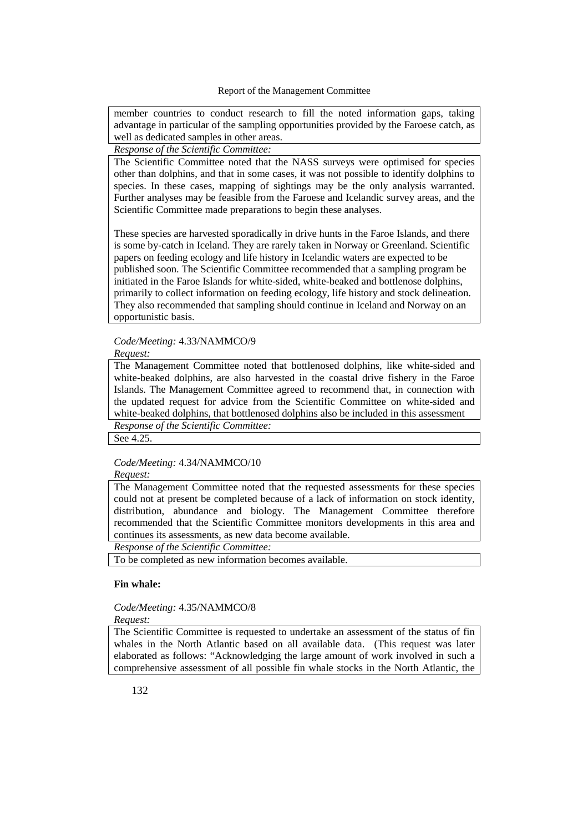member countries to conduct research to fill the noted information gaps, taking advantage in particular of the sampling opportunities provided by the Faroese catch, as well as dedicated samples in other areas.

# *Response of the Scientific Committee:*

The Scientific Committee noted that the NASS surveys were optimised for species other than dolphins, and that in some cases, it was not possible to identify dolphins to species. In these cases, mapping of sightings may be the only analysis warranted. Further analyses may be feasible from the Faroese and Icelandic survey areas, and the Scientific Committee made preparations to begin these analyses.

These species are harvested sporadically in drive hunts in the Faroe Islands, and there is some by-catch in Iceland. They are rarely taken in Norway or Greenland. Scientific papers on feeding ecology and life history in Icelandic waters are expected to be published soon. The Scientific Committee recommended that a sampling program be initiated in the Faroe Islands for white-sided, white-beaked and bottlenose dolphins, primarily to collect information on feeding ecology, life history and stock delineation. They also recommended that sampling should continue in Iceland and Norway on an opportunistic basis.

#### *Code/Meeting:* 4.33/NAMMCO/9

*Request:*

The Management Committee noted that bottlenosed dolphins, like white-sided and white-beaked dolphins, are also harvested in the coastal drive fishery in the Faroe Islands. The Management Committee agreed to recommend that, in connection with the updated request for advice from the Scientific Committee on white-sided and white-beaked dolphins, that bottlenosed dolphins also be included in this assessment *Response of the Scientific Committee:*

See 4.25.

## *Code/Meeting:* 4.34/NAMMCO/10

#### *Request:*

The Management Committee noted that the requested assessments for these species could not at present be completed because of a lack of information on stock identity, distribution, abundance and biology. The Management Committee therefore recommended that the Scientific Committee monitors developments in this area and continues its assessments, as new data become available.

*Response of the Scientific Committee:*

To be completed as new information becomes available.

#### **Fin whale:**

#### *Code/Meeting:* 4.35/NAMMCO/8 *Request:*

The Scientific Committee is requested to undertake an assessment of the status of fin whales in the North Atlantic based on all available data. (This request was later elaborated as follows: "Acknowledging the large amount of work involved in such a comprehensive assessment of all possible fin whale stocks in the North Atlantic, the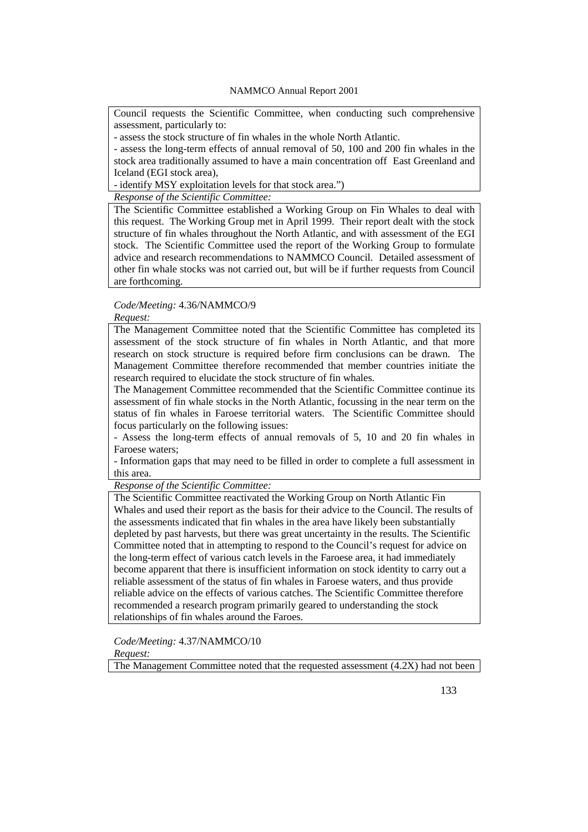Council requests the Scientific Committee, when conducting such comprehensive assessment, particularly to:

- assess the stock structure of fin whales in the whole North Atlantic.

- assess the long-term effects of annual removal of 50, 100 and 200 fin whales in the stock area traditionally assumed to have a main concentration off East Greenland and Iceland (EGI stock area),

- identify MSY exploitation levels for that stock area.")

*Response of the Scientific Committee:*

The Scientific Committee established a Working Group on Fin Whales to deal with this request. The Working Group met in April 1999. Their report dealt with the stock structure of fin whales throughout the North Atlantic, and with assessment of the EGI stock. The Scientific Committee used the report of the Working Group to formulate advice and research recommendations to NAMMCO Council. Detailed assessment of other fin whale stocks was not carried out, but will be if further requests from Council are forthcoming.

## *Code/Meeting:* 4.36/NAMMCO/9

# *Request:*

The Management Committee noted that the Scientific Committee has completed its assessment of the stock structure of fin whales in North Atlantic, and that more research on stock structure is required before firm conclusions can be drawn. The Management Committee therefore recommended that member countries initiate the research required to elucidate the stock structure of fin whales.

The Management Committee recommended that the Scientific Committee continue its assessment of fin whale stocks in the North Atlantic, focussing in the near term on the status of fin whales in Faroese territorial waters. The Scientific Committee should focus particularly on the following issues:

- Assess the long-term effects of annual removals of 5, 10 and 20 fin whales in Faroese waters;

- Information gaps that may need to be filled in order to complete a full assessment in this area.

*Response of the Scientific Committee:*

The Scientific Committee reactivated the Working Group on North Atlantic Fin Whales and used their report as the basis for their advice to the Council. The results of the assessments indicated that fin whales in the area have likely been substantially depleted by past harvests, but there was great uncertainty in the results. The Scientific Committee noted that in attempting to respond to the Council's request for advice on the long-term effect of various catch levels in the Faroese area, it had immediately become apparent that there is insufficient information on stock identity to carry out a reliable assessment of the status of fin whales in Faroese waters, and thus provide reliable advice on the effects of various catches. The Scientific Committee therefore recommended a research program primarily geared to understanding the stock relationships of fin whales around the Faroes.

*Code/Meeting:* 4.37/NAMMCO/10

*Request:*

The Management Committee noted that the requested assessment (4.2X) had not been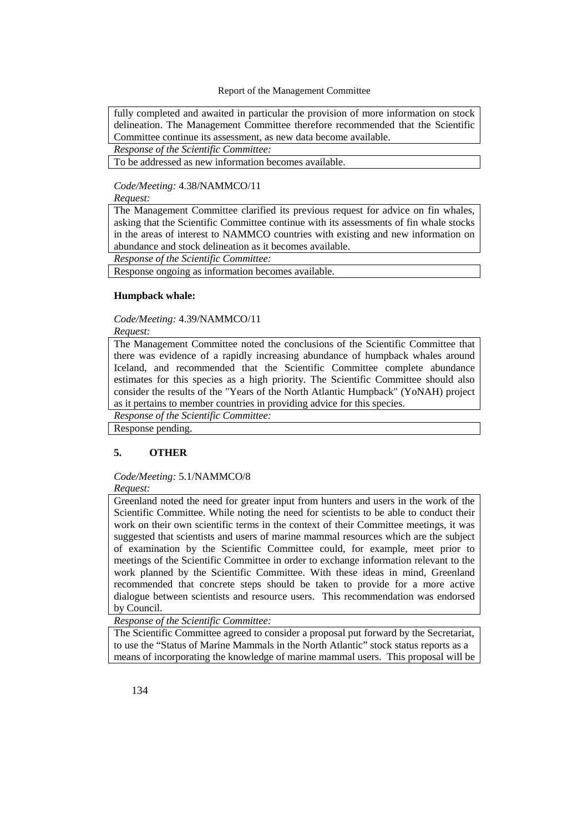fully completed and awaited in particular the provision of more information on stock delineation. The Management Committee therefore recommended that the Scientific Committee continue its assessment, as new data become available. *Response of the Scientific Committee:*

To be addressed as new information becomes available.

# *Code/Meeting:* 4.38/NAMMCO/11

## *Request:*

The Management Committee clarified its previous request for advice on fin whales, asking that the Scientific Committee continue with its assessments of fin whale stocks in the areas of interest to NAMMCO countries with existing and new information on abundance and stock delineation as it becomes available.

*Response of the Scientific Committee:*

Response ongoing as information becomes available.

### **Humpback whale:**

## *Code/Meeting:* 4.39/NAMMCO/11

*Request:*

The Management Committee noted the conclusions of the Scientific Committee that there was evidence of a rapidly increasing abundance of humpback whales around Iceland, and recommended that the Scientific Committee complete abundance estimates for this species as a high priority. The Scientific Committee should also consider the results of the "Years of the North Atlantic Humpback" (YoNAH) project as it pertains to member countries in providing advice for this species.

*Response of the Scientific Committee:*

Response pending.

# **5. OTHER**

#### *Code/Meeting:* 5.1/NAMMCO/8

#### *Request:*

Greenland noted the need for greater input from hunters and users in the work of the Scientific Committee. While noting the need for scientists to be able to conduct their work on their own scientific terms in the context of their Committee meetings, it was suggested that scientists and users of marine mammal resources which are the subject of examination by the Scientific Committee could, for example, meet prior to meetings of the Scientific Committee in order to exchange information relevant to the work planned by the Scientific Committee. With these ideas in mind, Greenland recommended that concrete steps should be taken to provide for a more active dialogue between scientists and resource users. This recommendation was endorsed by Council.

*Response of the Scientific Committee:*

The Scientific Committee agreed to consider a proposal put forward by the Secretariat, to use the "Status of Marine Mammals in the North Atlantic" stock status reports as a means of incorporating the knowledge of marine mammal users. This proposal will be